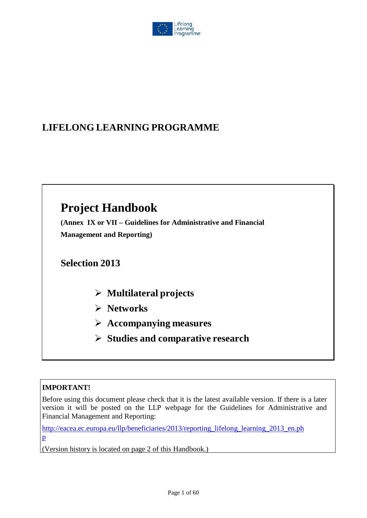

# **LIFELONG LEARNING PROGRAMME**

# **Project Handbook**

**(Annex IX or VII – Guidelines for Administrative and Financial Management and Reporting)**

**Selection 2013**

- **Multilateral projects**
- **Networks**
- **Accompanying measures**
- **Studies and comparative research**

# **IMPORTANT!**

Before using this document please check that it is the latest available version. If there is a later version it will be posted on the LLP webpage for the Guidelines for Administrative and Financial Management and Reporting:

[http://eacea.ec.europa.eu/llp/beneficiaries/2013/reporting\\_lifelong\\_learning\\_2013\\_en.ph](http://eacea.ec.europa.eu/llp/beneficiaries/2013/reporting_lifelong_learning_2013_en.php) p

(Version history is located on page 2 of this Handbook.)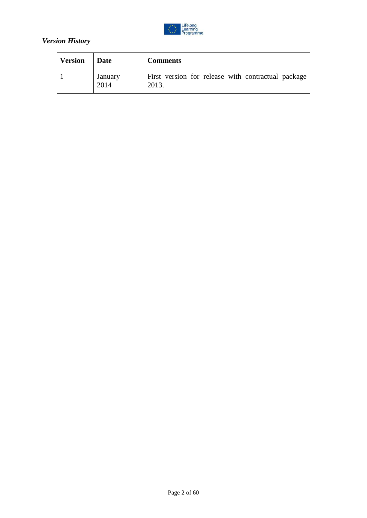

### *Version History*

| <b>Version</b> | Date            | <b>Comments</b>                                             |
|----------------|-----------------|-------------------------------------------------------------|
|                | January<br>2014 | First version for release with contractual package<br>2013. |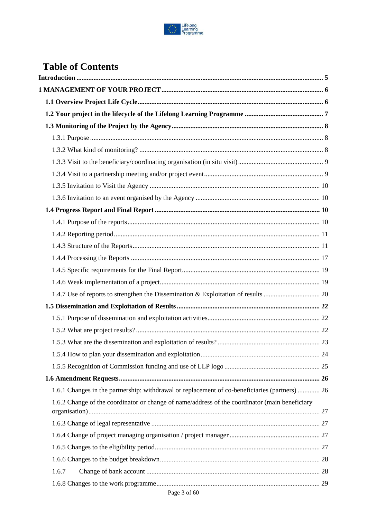

# **Table of Contents**

| 1.6.1 Changes in the partnership: withdrawal or replacement of co-beneficiaries (partners)  26 |  |
|------------------------------------------------------------------------------------------------|--|
| 1.6.2 Change of the coordinator or change of name/address of the coordinator (main beneficiary |  |
|                                                                                                |  |
|                                                                                                |  |
|                                                                                                |  |
|                                                                                                |  |
| 1.6.7                                                                                          |  |
|                                                                                                |  |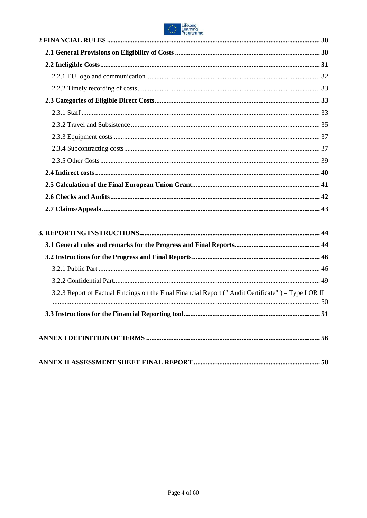

| <u>Programme</u>                                                                                    |  |
|-----------------------------------------------------------------------------------------------------|--|
|                                                                                                     |  |
|                                                                                                     |  |
|                                                                                                     |  |
|                                                                                                     |  |
|                                                                                                     |  |
|                                                                                                     |  |
|                                                                                                     |  |
|                                                                                                     |  |
|                                                                                                     |  |
|                                                                                                     |  |
|                                                                                                     |  |
|                                                                                                     |  |
|                                                                                                     |  |
|                                                                                                     |  |
|                                                                                                     |  |
|                                                                                                     |  |
|                                                                                                     |  |
|                                                                                                     |  |
|                                                                                                     |  |
|                                                                                                     |  |
| 3.2.3 Report of Factual Findings on the Final Financial Report ("Audit Certificate") – Type I OR II |  |
|                                                                                                     |  |
|                                                                                                     |  |
|                                                                                                     |  |
|                                                                                                     |  |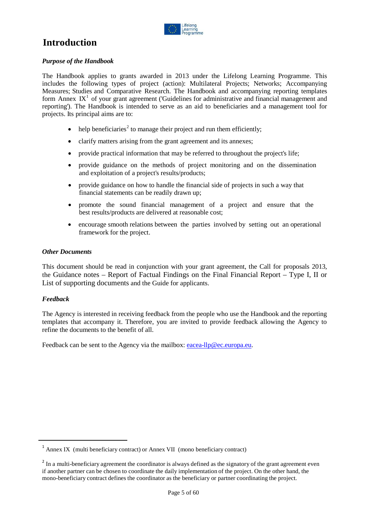

# <span id="page-4-0"></span>**Introduction**

#### *Purpose of the Handbook*

The Handbook applies to grants awarded in 2013 under the Lifelong Learning Programme. This includes the following types of project (action): Multilateral Projects; Networks; Accompanying Measures; Studies and Comparative Research. The Handbook and accompanying reporting templates form Annex  $IX<sup>1</sup>$  $IX<sup>1</sup>$  $IX<sup>1</sup>$  of your grant agreement ('Guidelines for administrative and financial management and reporting'). The Handbook is intended to serve as an aid to beneficiaries and a management tool for projects. Its principal aims are to:

- help beneficiaries<sup>[2](#page-4-2)</sup> to manage their project and run them efficiently;
- clarify matters arising from the grant agreement and its annexes;
- provide practical information that may be referred to throughout the project's life;
- provide guidance on the methods of project monitoring and on the dissemination and exploitation of a project's results/products;
- provide guidance on how to handle the financial side of projects in such a way that financial statements can be readily drawn up;
- promote the sound financial management of a project and ensure that the best results/products are delivered at reasonable cost;
- encourage smooth relations between the parties involved by setting out an operational framework for the project.

#### *Other Documents*

This document should be read in conjunction with your grant agreement, the Call for proposals 2013, the Guidance notes – Report of Factual Findings on the Final Financial Report – Type I, II or List of supporting documents and the Guide for applicants.

#### *Feedback*

The Agency is interested in receiving feedback from the people who use the Handbook and the reporting templates that accompany it. Therefore, you are invited to provide feedback allowing the Agency to refine the documents to the benefit of all.

Feedback can be sent to the Agency via the mailbox: [eacea-llp@ec.europa.eu.](mailto:eacea-llp@ec.europa.eu)

<span id="page-4-1"></span> $<sup>1</sup>$  Annex IX (multi beneficiary contract) or Annex VII (mono beneficiary contract)</sup>

<span id="page-4-2"></span><sup>&</sup>lt;sup>2</sup> In a multi-beneficiary agreement the coordinator is always defined as the signatory of the grant agreement even if another partner can be chosen to coordinate the daily implementation of the project. On the other hand, the mono-beneficiary contract defines the coordinator as the beneficiary or partner coordinating the project.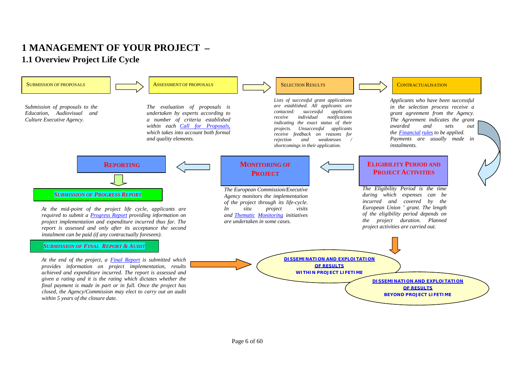# **1 MANAGEMENT OF YOUR PROJECT – 1.1 Overview Project Life Cycle**

<span id="page-5-1"></span><span id="page-5-0"></span>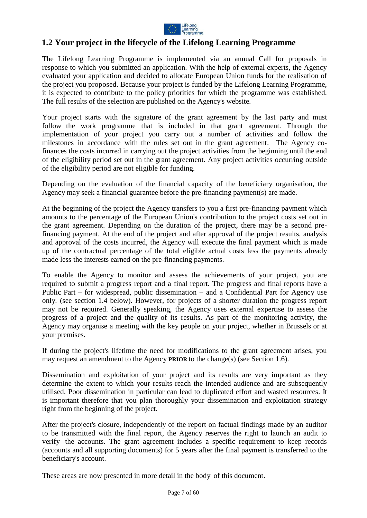

### <span id="page-6-0"></span>**1.2 Your project in the lifecycle of the Lifelong Learning Programme**

The Lifelong Learning Programme is implemented via an annual Call for proposals in response to which you submitted an application. With the help of external experts, the Agency evaluated your application and decided to allocate European Union funds for the realisation of the project you proposed. Because your project is funded by the Lifelong Learning Programme, it is expected to contribute to the policy priorities for which the programme was established. The full results of the selection are published on the Agency's website.

Your project starts with the signature of the grant agreement by the last party and must follow the work programme that is included in that grant agreement. Through the implementation of your project you carry out a number of activities and follow the milestones in accordance with the rules set out in the grant agreement. The Agency cofinances the costs incurred in carrying out the project activities from the beginning until the end of the eligibility period set out in the grant agreement. Any project activities occurring outside of the eligibility period are not eligible for funding.

Depending on the evaluation of the financial capacity of the beneficiary organisation, the Agency may seek a financial guarantee before the pre-financing payment(s) are made.

At the beginning of the project the Agency transfers to you a first pre-financing payment which amounts to the percentage of the European Union's contribution to the project costs set out in the grant agreement. Depending on the duration of the project, there may be a second prefinancing payment. At the end of the project and after approval of the project results, analysis and approval of the costs incurred, the Agency will execute the final payment which is made up of the contractual percentage of the total eligible actual costs less the payments already made less the interests earned on the pre-financing payments.

To enable the Agency to monitor and assess the achievements of your project, you are required to submit a progress report and a final report. The progress and final reports have a Public Part – for widespread, public dissemination – and a Confidential Part for Agency use only. (see section 1.4 below). However, for projects of a shorter duration the progress report may not be required. Generally speaking, the Agency uses external expertise to assess the progress of a project and the quality of its results. As part of the monitoring activity, the Agency may organise a meeting with the key people on your project, whether in Brussels or at your premises.

If during the project's lifetime the need for modifications to the grant agreement arises, you may request an amendment to the Agency **PRIOR** to the change(s) (see Section 1.6).

Dissemination and exploitation of your project and its results are very important as they determine the extent to which your results reach the intended audience and are subsequently utilised. Poor dissemination in particular can lead to duplicated effort and wasted resources. It is important therefore that you plan thoroughly your dissemination and exploitation strategy right from the beginning of the project.

After the project's closure, independently of the report on factual findings made by an auditor to be transmitted with the final report, the Agency reserves the right to launch an audit to verify the accounts. The grant agreement includes a specific requirement to keep records (accounts and all supporting documents) for 5 years after the final payment is transferred to the beneficiary's account.

These areas are now presented in more detail in the body of this document.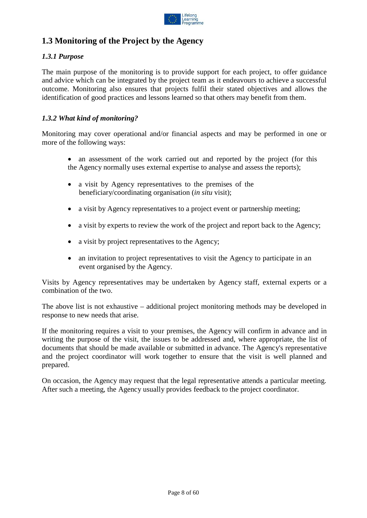

# <span id="page-7-0"></span>**1.3 Monitoring of the Project by the Agency**

#### <span id="page-7-1"></span>*1.3.1 Purpose*

The main purpose of the monitoring is to provide support for each project, to offer guidance and advice which can be integrated by the project team as it endeavours to achieve a successful outcome. Monitoring also ensures that projects fulfil their stated objectives and allows the identification of good practices and lessons learned so that others may benefit from them.

#### <span id="page-7-2"></span>*1.3.2 What kind of monitoring?*

Monitoring may cover operational and/or financial aspects and may be performed in one or more of the following ways:

- an assessment of the work carried out and reported by the project (for this the Agency normally uses external expertise to analyse and assess the reports);
- a visit by Agency representatives to the premises of the beneficiary/coordinating organisation (*in situ* visit);
- a visit by Agency representatives to a project event or partnership meeting;
- a visit by experts to review the work of the project and report back to the Agency;
- a visit by project representatives to the Agency;
- an invitation to project representatives to visit the Agency to participate in an event organised by the Agency.

Visits by Agency representatives may be undertaken by Agency staff, external experts or a combination of the two.

The above list is not exhaustive – additional project monitoring methods may be developed in response to new needs that arise.

If the monitoring requires a visit to your premises, the Agency will confirm in advance and in writing the purpose of the visit, the issues to be addressed and, where appropriate, the list of documents that should be made available or submitted in advance. The Agency's representative and the project coordinator will work together to ensure that the visit is well planned and prepared.

On occasion, the Agency may request that the legal representative attends a particular meeting. After such a meeting, the Agency usually provides feedback to the project coordinator.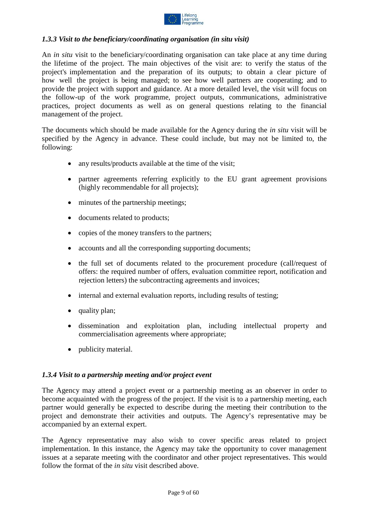

#### <span id="page-8-0"></span>*1.3.3 Visit to the beneficiary/coordinating organisation (in situ visit)*

An *in situ* visit to the beneficiary/coordinating organisation can take place at any time during the lifetime of the project. The main objectives of the visit are: to verify the status of the project's implementation and the preparation of its outputs; to obtain a clear picture of how well the project is being managed; to see how well partners are cooperating; and to provide the project with support and guidance. At a more detailed level, the visit will focus on the follow-up of the work programme, project outputs, communications, administrative practices, project documents as well as on general questions relating to the financial management of the project.

The documents which should be made available for the Agency during the *in situ* visit will be specified by the Agency in advance. These could include, but may not be limited to, the following:

- any results/products available at the time of the visit;
- partner agreements referring explicitly to the EU grant agreement provisions (highly recommendable for all projects);
- minutes of the partnership meetings;
- documents related to products;
- copies of the money transfers to the partners;
- accounts and all the corresponding supporting documents;
- the full set of documents related to the procurement procedure (call/request of offers: the required number of offers, evaluation committee report, notification and rejection letters) the subcontracting agreements and invoices;
- internal and external evaluation reports, including results of testing;
- quality plan;
- dissemination and exploitation plan, including intellectual property and commercialisation agreements where appropriate;
- publicity material.

#### <span id="page-8-1"></span>*1.3.4 Visit to a partnership meeting and/or project event*

The Agency may attend a project event or a partnership meeting as an observer in order to become acquainted with the progress of the project. If the visit is to a partnership meeting, each partner would generally be expected to describe during the meeting their contribution to the project and demonstrate their activities and outputs. The Agency's representative may be accompanied by an external expert.

The Agency representative may also wish to cover specific areas related to project implementation. In this instance, the Agency may take the opportunity to cover management issues at a separate meeting with the coordinator and other project representatives. This would follow the format of the *in situ* visit described above.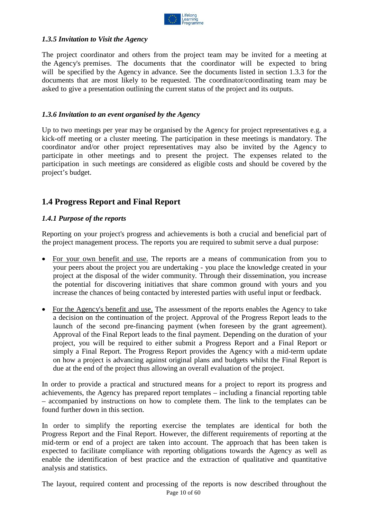

#### <span id="page-9-0"></span>*1.3.5 Invitation to Visit the Agency*

The project coordinator and others from the project team may be invited for a meeting at the Agency's premises. The documents that the coordinator will be expected to bring will be specified by the Agency in advance. See the documents listed in section 1.3.3 for the documents that are most likely to be requested. The coordinator/coordinating team may be asked to give a presentation outlining the current status of the project and its outputs.

#### <span id="page-9-1"></span>*1.3.6 Invitation to an event organised by the Agency*

Up to two meetings per year may be organised by the Agency for project representatives e.g. a kick-off meeting or a cluster meeting. The participation in these meetings is mandatory. The coordinator and/or other project representatives may also be invited by the Agency to participate in other meetings and to present the project. The expenses related to the participation in such meetings are considered as eligible costs and should be covered by the project's budget.

### <span id="page-9-2"></span>**1.4 Progress Report and Final Report**

#### <span id="page-9-3"></span>*1.4.1 Purpose of the reports*

Reporting on your project's progress and achievements is both a crucial and beneficial part of the project management process. The reports you are required to submit serve a dual purpose:

- For your own benefit and use. The reports are a means of communication from you to your peers about the project you are undertaking - you place the knowledge created in your project at the disposal of the wider community. Through their dissemination, you increase the potential for discovering initiatives that share common ground with yours and you increase the chances of being contacted by interested parties with useful input or feedback.
- For the Agency's benefit and use. The assessment of the reports enables the Agency to take a decision on the continuation of the project. Approval of the Progress Report leads to the launch of the second pre-financing payment (when foreseen by the grant agreement). Approval of the Final Report leads to the final payment. Depending on the duration of your project, you will be required to either submit a Progress Report and a Final Report or simply a Final Report. The Progress Report provides the Agency with a mid-term update on how a project is advancing against original plans and budgets whilst the Final Report is due at the end of the project thus allowing an overall evaluation of the project.

In order to provide a practical and structured means for a project to report its progress and achievements, the Agency has prepared report templates – including a financial reporting table – accompanied by instructions on how to complete them. The link to the templates can be found further down in this section.

In order to simplify the reporting exercise the templates are identical for both the Progress Report and the Final Report. However, the different requirements of reporting at the mid-term or end of a project are taken into account. The approach that has been taken is expected to facilitate compliance with reporting obligations towards the Agency as well as enable the identification of best practice and the extraction of qualitative and quantitative analysis and statistics.

Page 10 of 60 The layout, required content and processing of the reports is now described throughout the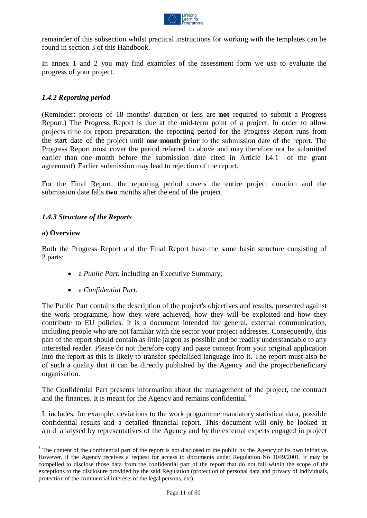

remainder of this subsection whilst practical instructions for working with the templates can be found in section 3 of this Handbook.

In annex 1 and 2 you may find examples of the assessment form we use to evaluate the progress of your project.

#### <span id="page-10-0"></span>*1.4.2 Reporting period*

(Reminder: projects of 18 months' duration or less are **not** required to submit a Progress Report.) The Progress Report is due at the mid-term point of a project. In order to allow projects time for report preparation, the reporting period for the Progress Report runs from the start date of the project until **one month prior** to the submission date of the report. The Progress Report must cover the period referred to above and may therefore not be submitted earlier than one month before the submission date cited in Article I.4.1 of the grant agreement) Earlier submission may lead to rejection of the report.

For the Final Report, the reporting period covers the entire project duration and the submission date falls **two** months after the end of the project.

#### <span id="page-10-1"></span>*1.4.3 Structure of the Reports*

#### **a) Overview**

Both the Progress Report and the Final Report have the same basic structure consisting of 2 parts:

- a *Public Part*, including an Executive Summary;
- a *Confidential Part*.

The Public Part contains the description of the project's objectives and results, presented against the work programme, how they were achieved, how they will be exploited and how they contribute to EU policies. It is a document intended for general, external communication, including people who are not familiar with the sector your project addresses. Consequently, this part of the report should contain as little jargon as possible and be readily understandable to any interested reader. Please do not therefore copy and paste content from your original application into the report as this is likely to transfer specialised language into it. The report must also be of such a quality that it can be directly published by the Agency and the project/beneficiary organisation.

The Confidential Part presents information about the management of the project, the contract and the finances. It is meant for the Agency and remains confidential.<sup>[3](#page-10-2)</sup>

It includes, for example, deviations to the work programme mandatory statistical data, possible confidential results and a detailed financial report. This document will only be looked at and analysed by representatives of the Agency and by the external experts engaged in project

<span id="page-10-2"></span><sup>&</sup>lt;sup>3</sup> The content of the confidential part of the report is not disclosed to the public by the Agency of its own initiative. However, if the Agency receives a request for access to documents under Regulation No 1049/2001, it may be compelled to disclose those data from the confidential part of the report that do not fall within the scope of the exceptions to the disclosure provided by the said Regulation (protection of personal data and privacy of individuals, protection of the commercial interests of the legal persons, etc).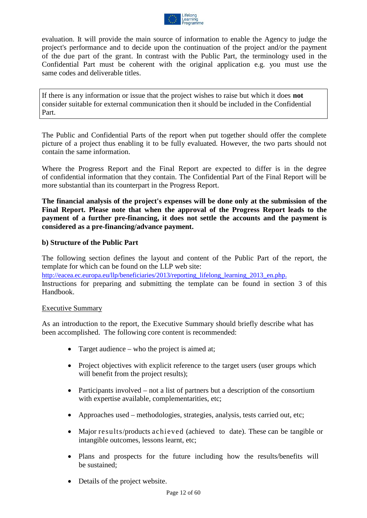

evaluation. It will provide the main source of information to enable the Agency to judge the project's performance and to decide upon the continuation of the project and/or the payment of the due part of the grant. In contrast with the Public Part, the terminology used in the Confidential Part must be coherent with the original application e.g. you must use the same codes and deliverable titles.

If there is any information or issue that the project wishes to raise but which it does **not** consider suitable for external communication then it should be included in the Confidential Part.

The Public and Confidential Parts of the report when put together should offer the complete picture of a project thus enabling it to be fully evaluated. However, the two parts should not contain the same information.

Where the Progress Report and the Final Report are expected to differ is in the degree of confidential information that they contain. The Confidential Part of the Final Report will be more substantial than its counterpart in the Progress Report.

**The financial analysis of the project's expenses will be done only at the submission of the Final Report. Please note that when the approval of the Progress Report leads to the payment of a further pre-financing, it does not settle the accounts and the payment is considered as a pre-financing/advance payment.**

#### **b) Structure of the Public Part**

The following section defines the layout and content of the Public Part of the report, the template for which can be found on the LLP web site:

[http://eacea.ec.europa.eu/llp/beneficiaries/2013/reporting\\_lifelong\\_learning\\_2013\\_en.php.](http://eacea.ec.europa.eu/llp/beneficiaries/2013/reporting_lifelong_learning_2013_en.php.) Instructions for preparing and submitting the template can be found in section 3 of this Handbook.

#### Executive Summary

As an introduction to the report, the Executive Summary should briefly describe what has been accomplished. The following core content is recommended:

- Target audience who the project is aimed at;
- Project objectives with explicit reference to the target users (user groups which will benefit from the project results);
- Participants involved not a list of partners but a description of the consortium with expertise available, complementarities, etc;
- Approaches used methodologies, strategies, analysis, tests carried out, etc;
- Major results/products achieved (achieved to date). These can be tangible or intangible outcomes, lessons learnt, etc;
- Plans and prospects for the future including how the results/benefits will be sustained;
- Details of the project website.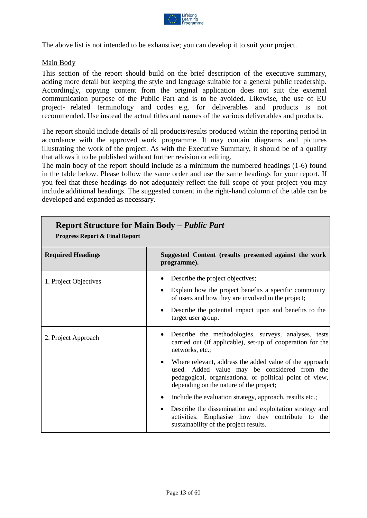

The above list is not intended to be exhaustive; you can develop it to suit your project.

#### Main Body

This section of the report should build on the brief description of the executive summary, adding more detail but keeping the style and language suitable for a general public readership. Accordingly, copying content from the original application does not suit the external communication purpose of the Public Part and is to be avoided. Likewise, the use of EU project- related terminology and codes e.g. for deliverables and products is not recommended. Use instead the actual titles and names of the various deliverables and products.

The report should include details of all products/results produced within the reporting period in accordance with the approved work programme. It may contain diagrams and pictures illustrating the work of the project. As with the Executive Summary, it should be of a quality that allows it to be published without further revision or editing.

The main body of the report should include as a minimum the numbered headings (1-6) found in the table below. Please follow the same order and use the same headings for your report. If you feel that these headings do not adequately reflect the full scope of your project you may include additional headings. The suggested content in the right-hand column of the table can be developed and expanded as necessary.

**Report Structure for Main Body –** *Public Part*

| Report Structure for Main Body – Public Part<br><b>Progress Report &amp; Final Report</b> |                                                                                                                                                                                                                                                                                                                                                                                                                                                                                                                                                                                                                     |  |
|-------------------------------------------------------------------------------------------|---------------------------------------------------------------------------------------------------------------------------------------------------------------------------------------------------------------------------------------------------------------------------------------------------------------------------------------------------------------------------------------------------------------------------------------------------------------------------------------------------------------------------------------------------------------------------------------------------------------------|--|
| <b>Required Headings</b>                                                                  | Suggested Content (results presented against the work<br>programme).                                                                                                                                                                                                                                                                                                                                                                                                                                                                                                                                                |  |
| 1. Project Objectives                                                                     | Describe the project objectives;<br>Explain how the project benefits a specific community<br>of users and how they are involved in the project;<br>Describe the potential impact upon and benefits to the<br>target user group.                                                                                                                                                                                                                                                                                                                                                                                     |  |
| 2. Project Approach                                                                       | Describe the methodologies, surveys, analyses, tests<br>$\bullet$<br>carried out (if applicable), set-up of cooperation for the<br>networks, etc.;<br>Where relevant, address the added value of the approach<br>$\bullet$<br>used. Added value may be considered from the<br>pedagogical, organisational or political point of view,<br>depending on the nature of the project;<br>Include the evaluation strategy, approach, results etc.;<br>Describe the dissemination and exploitation strategy and<br>$\bullet$<br>activities. Emphasise how they contribute to the<br>sustainability of the project results. |  |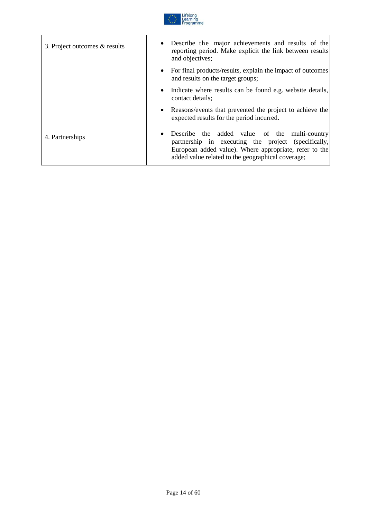

| 3. Project outcomes & results | Describe the major achievements and results of the<br>reporting period. Make explicit the link between results<br>and objectives;                                                                                   |
|-------------------------------|---------------------------------------------------------------------------------------------------------------------------------------------------------------------------------------------------------------------|
|                               | • For final products/results, explain the impact of outcomes<br>and results on the target groups;                                                                                                                   |
|                               | • Indicate where results can be found e.g. website details,<br>contact details;                                                                                                                                     |
|                               | • Reasons/events that prevented the project to achieve the<br>expected results for the period incurred.                                                                                                             |
| 4. Partnerships               | Describe the added value of the multi-country<br>partnership in executing the project (specifically,<br>European added value). Where appropriate, refer to the<br>added value related to the geographical coverage; |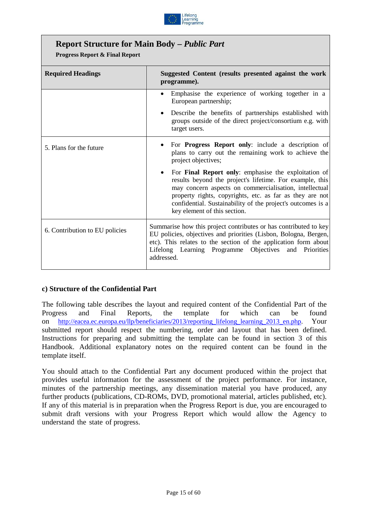

## **Report Structure for Main Body –** *Public Part*

**Progress Report & Final Report**

| <b>Required Headings</b>       | Suggested Content (results presented against the work<br>programme).                                                                                                                                                                                                                                                                         |  |  |
|--------------------------------|----------------------------------------------------------------------------------------------------------------------------------------------------------------------------------------------------------------------------------------------------------------------------------------------------------------------------------------------|--|--|
|                                | Emphasise the experience of working together in a<br>European partnership;                                                                                                                                                                                                                                                                   |  |  |
|                                | Describe the benefits of partnerships established with<br>groups outside of the direct project/consortium e.g. with<br>target users.                                                                                                                                                                                                         |  |  |
| 5. Plans for the future        | For <b>Progress Report only</b> : include a description of<br>plans to carry out the remaining work to achieve the<br>project objectives;                                                                                                                                                                                                    |  |  |
|                                | For <b>Final Report only:</b> emphasise the exploitation of<br>results beyond the project's lifetime. For example, this<br>may concern aspects on commercialisation, intellectual<br>property rights, copyrights, etc. as far as they are not<br>confidential. Sustainability of the project's outcomes is a<br>key element of this section. |  |  |
| 6. Contribution to EU policies | Summarise how this project contributes or has contributed to key<br>EU policies, objectives and priorities (Lisbon, Bologna, Bergen,<br>etc). This relates to the section of the application form about<br>Lifelong Learning Programme Objectives and<br>Priorities<br>addressed.                                                            |  |  |

#### **c) Structure of the Confidential Part**

The following table describes the layout and required content of the Confidential Part of the Progress and Final Reports, the template for which can be found on [http://eacea.ec.europa.eu/llp/beneficiaries/2013/reporting\\_lifelong\\_learning\\_2013\\_en.php.](http://eacea.ec.europa.eu/llp/beneficiaries/2013/reporting_lifelong_learning_2013_en.php) Your submitted report should respect the numbering, order and layout that has been defined. Instructions for preparing and submitting the template can be found in section 3 of this Handbook. Additional explanatory notes on the required content can be found in the template itself.

You should attach to the Confidential Part any document produced within the project that provides useful information for the assessment of the project performance. For instance, minutes of the partnership meetings, any dissemination material you have produced, any further products (publications, CD-ROMs, DVD, promotional material, articles published, etc). If any of this material is in preparation when the Progress Report is due, you are encouraged to submit draft versions with your Progress Report which would allow the Agency to understand the state of progress.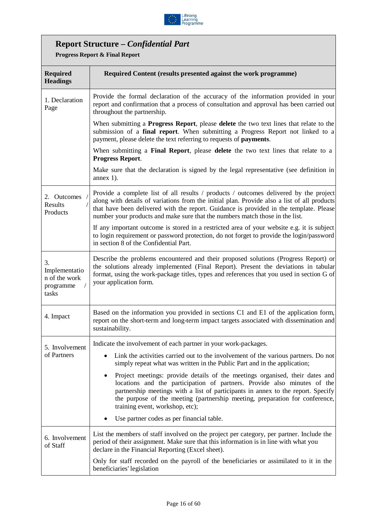

# **Report Structure –** *Confidential Part*

**Progress Report & Final Report**

| <b>Required</b><br><b>Headings</b>                         | Required Content (results presented against the work programme)                                                                                                                                                                                                                                                                                                 |
|------------------------------------------------------------|-----------------------------------------------------------------------------------------------------------------------------------------------------------------------------------------------------------------------------------------------------------------------------------------------------------------------------------------------------------------|
| 1. Declaration<br>Page                                     | Provide the formal declaration of the accuracy of the information provided in your<br>report and confirmation that a process of consultation and approval has been carried out<br>throughout the partnership.                                                                                                                                                   |
|                                                            | When submitting a <b>Progress Report</b> , please <b>delete</b> the two text lines that relate to the<br>submission of a final report. When submitting a Progress Report not linked to a<br>payment, please delete the text referring to requests of payments.                                                                                                  |
|                                                            | When submitting a Final Report, please delete the two text lines that relate to a<br><b>Progress Report.</b>                                                                                                                                                                                                                                                    |
|                                                            | Make sure that the declaration is signed by the legal representative (see definition in<br>annex $1$ ).                                                                                                                                                                                                                                                         |
| 2. Outcomes<br>Results<br>Products                         | Provide a complete list of all results / products / outcomes delivered by the project<br>along with details of variations from the initial plan. Provide also a list of all products<br>that have been delivered with the report. Guidance is provided in the template. Please<br>number your products and make sure that the numbers match those in the list.  |
|                                                            | If any important outcome is stored in a restricted area of your website e.g. it is subject<br>to login requirement or password protection, do not forget to provide the login/password<br>in section 8 of the Confidential Part.                                                                                                                                |
| 3.<br>Implementatio<br>n of the work<br>programme<br>tasks | Describe the problems encountered and their proposed solutions (Progress Report) or<br>the solutions already implemented (Final Report). Present the deviations in tabular<br>format, using the work-package titles, types and references that you used in section G of<br>your application form.                                                               |
| 4. Impact                                                  | Based on the information you provided in sections C1 and E1 of the application form,<br>report on the short-term and long-term impact targets associated with dissemination and<br>sustainability.                                                                                                                                                              |
| 5. Involvement                                             | Indicate the involvement of each partner in your work-packages.                                                                                                                                                                                                                                                                                                 |
| of Partners                                                | Link the activities carried out to the involvement of the various partners. Do not<br>simply repeat what was written in the Public Part and in the application;                                                                                                                                                                                                 |
|                                                            | Project meetings: provide details of the meetings organised, their dates and<br>locations and the participation of partners. Provide also minutes of the<br>partnership meetings with a list of participants in annex to the report. Specify<br>the purpose of the meeting (partnership meeting, preparation for conference,<br>training event, workshop, etc); |
|                                                            | Use partner codes as per financial table.                                                                                                                                                                                                                                                                                                                       |
| 6. Involvement<br>of Staff                                 | List the members of staff involved on the project per category, per partner. Include the<br>period of their assignment. Make sure that this information is in line with what you<br>declare in the Financial Reporting (Excel sheet).                                                                                                                           |
|                                                            | Only for staff recorded on the payroll of the beneficiaries or assimilated to it in the<br>beneficiaries' legislation                                                                                                                                                                                                                                           |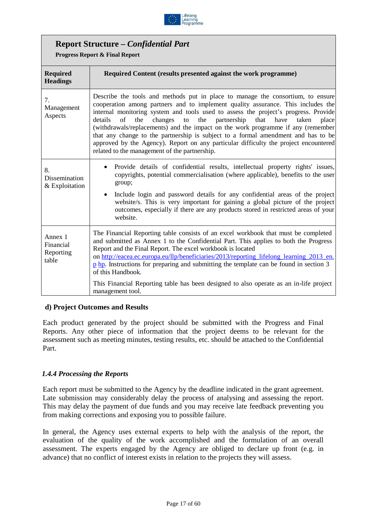

### **Report Structure –** *Confidential Part*

**Progress Report & Final Report**

| <b>Required</b><br><b>Headings</b>         | Required Content (results presented against the work programme)                                                                                                                                                                                                                                                                                                                                                                                                                                                                                                                                                                                                         |
|--------------------------------------------|-------------------------------------------------------------------------------------------------------------------------------------------------------------------------------------------------------------------------------------------------------------------------------------------------------------------------------------------------------------------------------------------------------------------------------------------------------------------------------------------------------------------------------------------------------------------------------------------------------------------------------------------------------------------------|
| 7.<br>Management<br>Aspects                | Describe the tools and methods put in place to manage the consortium, to ensure<br>cooperation among partners and to implement quality assurance. This includes the<br>internal monitoring system and tools used to assess the project's progress. Provide<br>to the partnership<br>details<br>of<br>the<br>changes<br>that<br>have<br>taken<br>place<br>(withdrawals/replacements) and the impact on the work programme if any (remember<br>that any change to the partnership is subject to a formal amendment and has to be<br>approved by the Agency). Report on any particular difficulty the project encountered<br>related to the management of the partnership. |
| 8.<br>Dissemination<br>& Exploitation      | Provide details of confidential results, intellectual property rights' issues,<br>copyrights, potential commercialisation (where applicable), benefits to the user<br>group;<br>Include login and password details for any confidential areas of the project<br>$\bullet$<br>website/s. This is very important for gaining a global picture of the project<br>outcomes, especially if there are any products stored in restricted areas of your<br>website.                                                                                                                                                                                                             |
| Annex 1<br>Financial<br>Reporting<br>table | The Financial Reporting table consists of an excel workbook that must be completed<br>and submitted as Annex 1 to the Confidential Part. This applies to both the Progress<br>Report and the Final Report. The excel workbook is located<br>on http://eacea.ec.europa.eu/llp/beneficiaries/2013/reporting lifelong learning 2013 en.<br>$\frac{p}{p}$ hp. Instructions for preparing and submitting the template can be found in section 3<br>of this Handbook.<br>This Financial Reporting table has been designed to also operate as an in-life project<br>management tool.                                                                                           |

#### **d) Project Outcomes and Results**

Each product generated by the project should be submitted with the Progress and Final Reports. Any other piece of information that the project deems to be relevant for the assessment such as meeting minutes, testing results, etc. should be attached to the Confidential Part.

#### <span id="page-16-0"></span>*1.4.4 Processing the Reports*

Each report must be submitted to the Agency by the deadline indicated in the grant agreement. Late submission may considerably delay the process of analysing and assessing the report. This may delay the payment of due funds and you may receive late feedback preventing you from making corrections and exposing you to possible failure.

In general, the Agency uses external experts to help with the analysis of the report, the evaluation of the quality of the work accomplished and the formulation of an overall assessment. The experts engaged by the Agency are obliged to declare up front (e.g. in advance) that no conflict of interest exists in relation to the projects they will assess.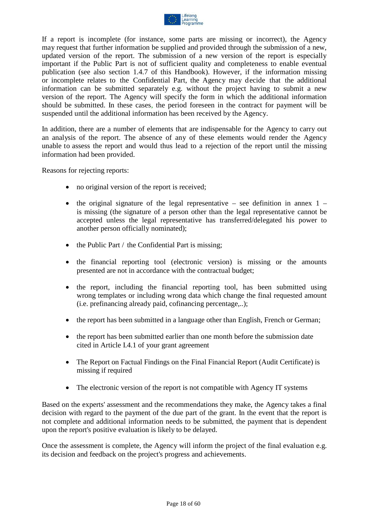

If a report is incomplete (for instance, some parts are missing or incorrect), the Agency may request that further information be supplied and provided through the submission of a new, updated version of the report. The submission of a new version of the report is especially important if the Public Part is not of sufficient quality and completeness to enable eventual publication (see also section 1.4.7 of this Handbook). However, if the information missing or incomplete relates to the Confidential Part, the Agency may decide that the additional information can be submitted separately e.g. without the project having to submit a new version of the report. The Agency will specify the form in which the additional information should be submitted. In these cases, the period foreseen in the contract for payment will be suspended until the additional information has been received by the Agency.

In addition, there are a number of elements that are indispensable for the Agency to carry out an analysis of the report. The absence of any of these elements would render the Agency unable to assess the report and would thus lead to a rejection of the report until the missing information had been provided.

Reasons for rejecting reports:

- no original version of the report is received;
- the original signature of the legal representative see definition in annex  $1$ is missing (the signature of a person other than the legal representative cannot be accepted unless the legal representative has transferred/delegated his power to another person officially nominated);
- the Public Part / the Confidential Part is missing;
- the financial reporting tool (electronic version) is missing or the amounts presented are not in accordance with the contractual budget;
- the report, including the financial reporting tool, has been submitted using wrong templates or including wrong data which change the final requested amount (i.e. prefinancing already paid, cofinancing percentage,..);
- the report has been submitted in a language other than English, French or German;
- the report has been submitted earlier than one month before the submission date cited in Article I.4.1 of your grant agreement
- The Report on Factual Findings on the Final Financial Report (Audit Certificate) is missing if required
- The electronic version of the report is not compatible with Agency IT systems

Based on the experts' assessment and the recommendations they make, the Agency takes a final decision with regard to the payment of the due part of the grant. In the event that the report is not complete and additional information needs to be submitted, the payment that is dependent upon the report's positive evaluation is likely to be delayed.

Once the assessment is complete, the Agency will inform the project of the final evaluation e.g. its decision and feedback on the project's progress and achievements.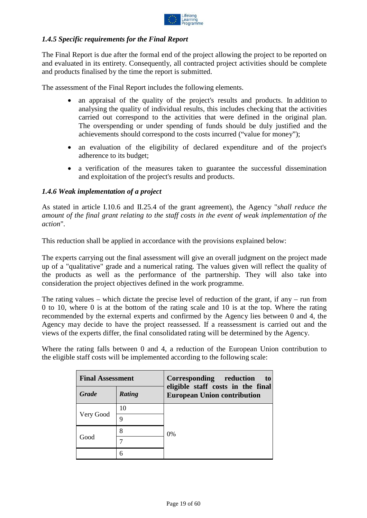

#### <span id="page-18-0"></span>*1.4.5 Specific requirements for the Final Report*

The Final Report is due after the formal end of the project allowing the project to be reported on and evaluated in its entirety. Consequently, all contracted project activities should be complete and products finalised by the time the report is submitted.

The assessment of the Final Report includes the following elements.

- an appraisal of the quality of the project's results and products. In addition to analysing the quality of individual results, this includes checking that the activities carried out correspond to the activities that were defined in the original plan. The overspending or under spending of funds should be duly justified and the achievements should correspond to the costs incurred ("value for money");
- an evaluation of the eligibility of declared expenditure and of the project's adherence to its budget;
- a verification of the measures taken to guarantee the successful dissemination and exploitation of the project's results and products.

#### <span id="page-18-1"></span>*1.4.6 Weak implementation of a project*

As stated in article I.10.6 and II.25.4 of the grant agreement), the Agency "*shall reduce the amount of the final grant relating to the staff costs in the event of weak implementation of the action*".

This reduction shall be applied in accordance with the provisions explained below:

The experts carrying out the final assessment will give an overall judgment on the project made up of a "qualitative" grade and a numerical rating. The values given will reflect the quality of the products as well as the performance of the partnership. They will also take into consideration the project objectives defined in the work programme.

The rating values – which dictate the precise level of reduction of the grant, if any – run from 0 to 10, where 0 is at the bottom of the rating scale and 10 is at the top. Where the rating recommended by the external experts and confirmed by the Agency lies between 0 and 4, the Agency may decide to have the project reassessed. If a reassessment is carried out and the views of the experts differ, the final consolidated rating will be determined by the Agency.

Where the rating falls between 0 and 4, a reduction of the European Union contribution to the eligible staff costs will be implemented according to the following scale:

| <b>Final Assessment</b> |        | Corresponding reduction<br>to                                           |  |
|-------------------------|--------|-------------------------------------------------------------------------|--|
| Grade                   | Rating | eligible staff costs in the final<br><b>European Union contribution</b> |  |
| Very Good               | 10     |                                                                         |  |
|                         | 9      |                                                                         |  |
| Good                    | 8      | $0\%$                                                                   |  |
|                         |        |                                                                         |  |
|                         | 6      |                                                                         |  |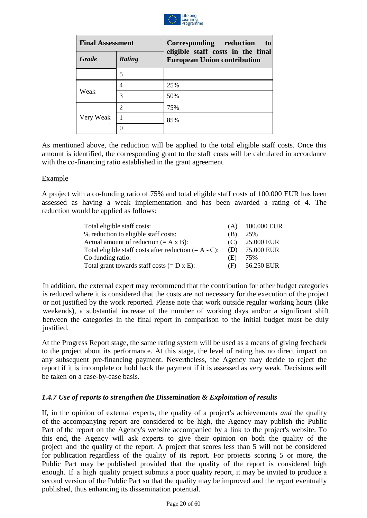

| <b>Final Assessment</b> |                             | Corresponding reduction<br>to                                           |
|-------------------------|-----------------------------|-------------------------------------------------------------------------|
| <b>Grade</b>            | <b>Rating</b>               | eligible staff costs in the final<br><b>European Union contribution</b> |
|                         | 5                           |                                                                         |
|                         | 4                           | 25%                                                                     |
| Weak                    | 3                           | 50%                                                                     |
|                         | $\mathcal{D}_{\mathcal{L}}$ | 75%                                                                     |
| Very Weak               |                             | 85%                                                                     |
|                         |                             |                                                                         |

As mentioned above, the reduction will be applied to the total eligible staff costs. Once this amount is identified, the corresponding grant to the staff costs will be calculated in accordance with the co-financing ratio established in the grant agreement.

#### Example

A project with a co-funding ratio of 75% and total eligible staff costs of 100.000 EUR has been assessed as having a weak implementation and has been awarded a rating of 4. The reduction would be applied as follows:

| Total eligible staff costs:                              | (A) | 100.000 EUR |
|----------------------------------------------------------|-----|-------------|
| % reduction to eligible staff costs:                     | (B) | 25%         |
| Actual amount of reduction $(= A \times B)$ :            | (C) | 25.000 EUR  |
| Total eligible staff costs after reduction $(= A - C)$ : | (D) | 75.000 EUR  |
| Co-funding ratio:                                        | (E) | 75%         |
| Total grant towards staff costs $(=D \times E)$ :        | (F) | 56.250 EUR  |

In addition, the external expert may recommend that the contribution for other budget categories is reduced where it is considered that the costs are not necessary for the execution of the project or not justified by the work reported. Please note that work outside regular working hours (like weekends), a substantial increase of the number of working days and/or a significant shift between the categories in the final report in comparison to the initial budget must be duly justified.

At the Progress Report stage, the same rating system will be used as a means of giving feedback to the project about its performance. At this stage, the level of rating has no direct impact on any subsequent pre-financing payment. Nevertheless, the Agency may decide to reject the report if it is incomplete or hold back the payment if it is assessed as very weak. Decisions will be taken on a case-by-case basis.

#### <span id="page-19-0"></span>*1.4.7 Use of reports to strengthen the Dissemination & Exploitation of results*

If, in the opinion of external experts, the quality of a project's achievements *and* the quality of the accompanying report are considered to be high, the Agency may publish the Public Part of the report on the Agency's website accompanied by a link to the project's website. To this end, the Agency will ask experts to give their opinion on both the quality of the project and the quality of the report. A project that scores less than 5 will not be considered for publication regardless of the quality of its report. For projects scoring 5 or more, the Public Part may be published provided that the quality of the report is considered high enough. If a high quality project submits a poor quality report, it may be invited to produce a second version of the Public Part so that the quality may be improved and the report eventually published, thus enhancing its dissemination potential.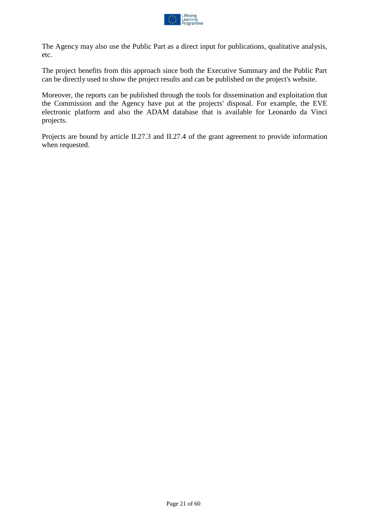

The Agency may also use the Public Part as a direct input for publications, qualitative analysis, etc.

The project benefits from this approach since both the Executive Summary and the Public Part can be directly used to show the project results and can be published on the project's website.

Moreover, the reports can be published through the tools for dissemination and exploitation that the Commission and the Agency have put at the projects' disposal. For example, the EVE electronic platform and also the ADAM database that is available for Leonardo da Vinci projects.

Projects are bound by article II.27.3 and II.27.4 of the grant agreement to provide information when requested.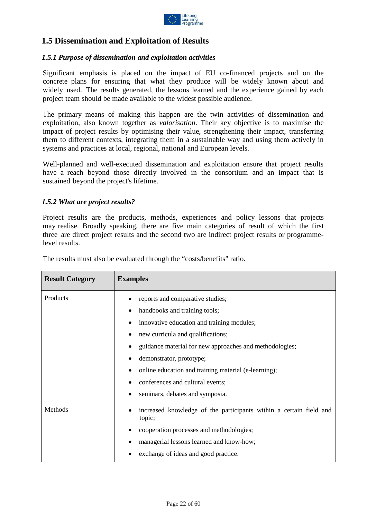

# <span id="page-21-0"></span>**1.5 Dissemination and Exploitation of Results**

#### <span id="page-21-1"></span>*1.5.1 Purpose of dissemination and exploitation activities*

Significant emphasis is placed on the impact of EU co-financed projects and on the concrete plans for ensuring that what they produce will be widely known about and widely used. The results generated, the lessons learned and the experience gained by each project team should be made available to the widest possible audience.

The primary means of making this happen are the twin activities of dissemination and exploitation, also known together as *valorisation*. Their key objective is to maximise the impact of project results by optimising their value, strengthening their impact, transferring them to different contexts, integrating them in a sustainable way and using them actively in systems and practices at local, regional, national and European levels.

Well-planned and well-executed dissemination and exploitation ensure that project results have a reach beyond those directly involved in the consortium and an impact that is sustained beyond the project's lifetime.

#### <span id="page-21-2"></span>*1.5.2 What are project results?*

Project results are the products, methods, experiences and policy lessons that projects may realise. Broadly speaking, there are five main categories of result of which the first three are direct project results and the second two are indirect project results or programmelevel results.

| <b>Result Category</b> | <b>Examples</b>                                                                                                                                                                                                                                                                                                                                                                         |  |
|------------------------|-----------------------------------------------------------------------------------------------------------------------------------------------------------------------------------------------------------------------------------------------------------------------------------------------------------------------------------------------------------------------------------------|--|
| Products               | reports and comparative studies;<br>handbooks and training tools;<br>innovative education and training modules;<br>new curricula and qualifications;<br>$\bullet$<br>guidance material for new approaches and methodologies;<br>demonstrator, prototype;<br>online education and training material (e-learning);<br>conferences and cultural events;<br>seminars, debates and symposia. |  |
| Methods                | increased knowledge of the participants within a certain field and<br>topic;<br>cooperation processes and methodologies;<br>$\bullet$<br>managerial lessons learned and know-how;<br>exchange of ideas and good practice.                                                                                                                                                               |  |

The results must also be evaluated through the "costs/benefits" ratio.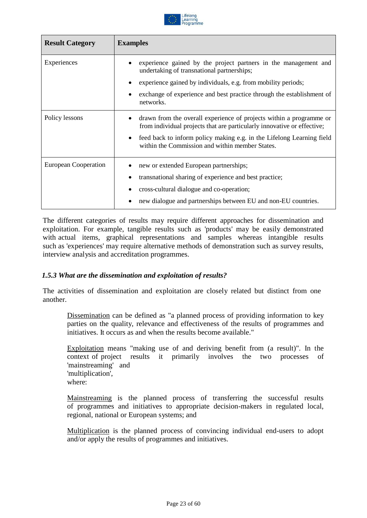

| <b>Result Category</b> | <b>Examples</b>                                                                                                                                                                                                                                                                         |
|------------------------|-----------------------------------------------------------------------------------------------------------------------------------------------------------------------------------------------------------------------------------------------------------------------------------------|
| Experiences            | experience gained by the project partners in the management and<br>undertaking of transnational partnerships;                                                                                                                                                                           |
|                        | experience gained by individuals, e.g. from mobility periods;<br>$\bullet$                                                                                                                                                                                                              |
|                        | exchange of experience and best practice through the establishment of<br>networks.                                                                                                                                                                                                      |
| Policy lessons         | drawn from the overall experience of projects within a programme or<br>from individual projects that are particularly innovative or effective;<br>feed back to inform policy making e.g. in the Lifelong Learning field<br>$\bullet$<br>within the Commission and within member States. |
| European Cooperation   | new or extended European partnerships;<br>transnational sharing of experience and best practice;<br>cross-cultural dialogue and co-operation;<br>new dialogue and partnerships between EU and non-EU countries.                                                                         |

The different categories of results may require different approaches for dissemination and exploitation. For example, tangible results such as 'products' may be easily demonstrated with actual items, graphical representations and samples whereas intangible results such as 'experiences' may require alternative methods of demonstration such as survey results, interview analysis and accreditation programmes.

#### <span id="page-22-0"></span>*1.5.3 What are the dissemination and exploitation of results?*

The activities of dissemination and exploitation are closely related but distinct from one another.

Dissemination can be defined as "a planned process of providing information to key parties on the quality, relevance and effectiveness of the results of programmes and initiatives. It occurs as and when the results become available."

Exploitation means "making use of and deriving benefit from (a result)". In the context of project results it primarily involves the two processes of 'mainstreaming' and 'multiplication', where:

Mainstreaming is the planned process of transferring the successful results of programmes and initiatives to appropriate decision-makers in regulated local, regional, national or European systems; and

Multiplication is the planned process of convincing individual end-users to adopt and/or apply the results of programmes and initiatives.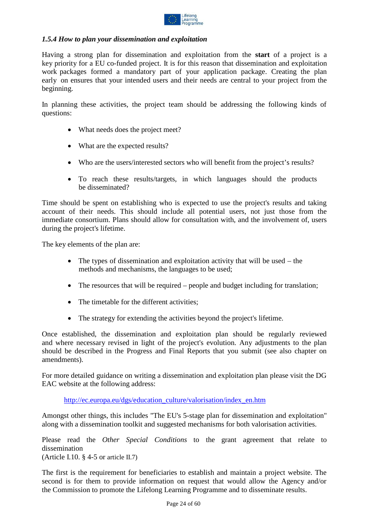

#### <span id="page-23-0"></span>*1.5.4 How to plan your dissemination and exploitation*

Having a strong plan for dissemination and exploitation from the **start** of a project is a key priority for a EU co-funded project. It is for this reason that dissemination and exploitation work packages formed a mandatory part of your application package. Creating the plan early on ensures that your intended users and their needs are central to your project from the beginning.

In planning these activities, the project team should be addressing the following kinds of questions:

- What needs does the project meet?
- What are the expected results?
- Who are the users/interested sectors who will benefit from the project's results?
- To reach these results/targets, in which languages should the products be disseminated?

Time should be spent on establishing who is expected to use the project's results and taking account of their needs. This should include all potential users, not just those from the immediate consortium. Plans should allow for consultation with, and the involvement of, users during the project's lifetime.

The key elements of the plan are:

- The types of dissemination and exploitation activity that will be used the methods and mechanisms, the languages to be used;
- The resources that will be required people and budget including for translation;
- The timetable for the different activities:
- The strategy for extending the activities beyond the project's lifetime.

Once established, the dissemination and exploitation plan should be regularly reviewed and where necessary revised in light of the project's evolution. Any adjustments to the plan should be described in the Progress and Final Reports that you submit (see also chapter on amendments).

For more detailed guidance on writing a dissemination and exploitation plan please visit the DG EAC website at the following address:

[http://ec.europa.eu/dgs/education\\_culture/valorisation/index\\_en.htm](http://ec.europa.eu/dgs/education_culture/valorisation/index_en.htm)

Amongst other things, this includes "The EU's 5-stage plan for dissemination and exploitation" along with a dissemination toolkit and suggested mechanisms for both valorisation activities.

Please read the *Other Special Conditions* to the grant agreement that relate to dissemination

(Article I.10.  $\S$  4-5 or article II.7)

The first is the requirement for beneficiaries to establish and maintain a project website. The second is for them to provide information on request that would allow the Agency and/or the Commission to promote the Lifelong Learning Programme and to disseminate results.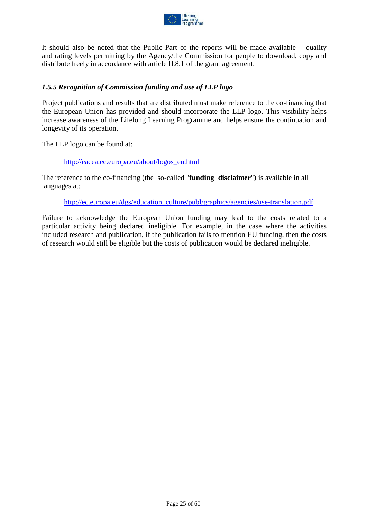

It should also be noted that the Public Part of the reports will be made available – quality and rating levels permitting by the Agency/the Commission for people to download, copy and distribute freely in accordance with article II.8.1 of the grant agreement.

#### <span id="page-24-0"></span>*1.5.5 Recognition of Commission funding and use of LLP logo*

Project publications and results that are distributed must make reference to the co-financing that the European Union has provided and should incorporate the LLP logo. This visibility helps increase awareness of the Lifelong Learning Programme and helps ensure the continuation and longevity of its operation.

The LLP logo can be found at:

#### [http://eacea.ec.europa.eu/about/logos\\_en.html](http://eacea.ec.europa.eu/about/logos_en.html)

The reference to the co-financing (the so-called "**funding disclaimer**"**)** is available in all languages at:

[http://ec.europa.eu/dgs/education\\_culture/publ/graphics/agencies/use-translation.pdf](http://ec.europa.eu/dgs/education_culture/publ/graphics/agencies/use-translation.pdf)

Failure to acknowledge the European Union funding may lead to the costs related to a particular activity being declared ineligible. For example, in the case where the activities included research and publication, if the publication fails to mention EU funding, then the costs of research would still be eligible but the costs of publication would be declared ineligible.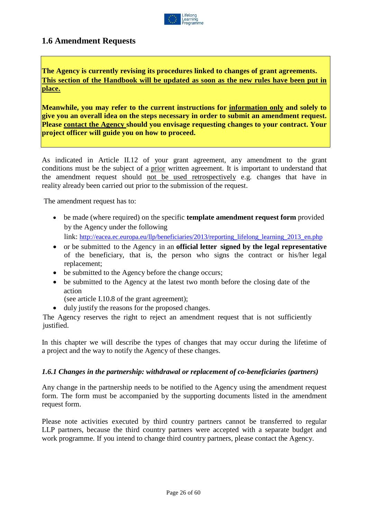

### <span id="page-25-0"></span>**1.6 Amendment Requests**

**The Agency is currently revising its procedures linked to changes of grant agreements. This section of the Handbook will be updated as soon as the new rules have been put in place.**

**Meanwhile, you may refer to the current instructions for information only and solely to give you an overall idea on the steps necessary in order to submit an amendment request. Please contact the Agency should you envisage requesting changes to your contract. Your project officer will guide you on how to proceed.**

As indicated in Article II.12 of your grant agreement, any amendment to the grant conditions must be the subject of a prior written agreement. It is important to understand that the amendment request should not be used retrospectively e.g. changes that have in reality already been carried out prior to the submission of the request.

The amendment request has to:

- be made (where required) on the specific **template amendment request form** provided by the Agency under the following link: http://eacea.ec.europa.eu/llp/beneficiaries/2013/reporting lifelong learning 2013 en.php
- or be submitted to the Agency in an **official letter signed by the legal representative** of the beneficiary, that is, the person who signs the contract or his/her legal replacement;
- be submitted to the Agency before the change occurs;
- be submitted to the Agency at the latest two month before the closing date of the action
	- (see article I.10.8 of the grant agreement);
- duly justify the reasons for the proposed changes.

The Agency reserves the right to reject an amendment request that is not sufficiently justified.

In this chapter we will describe the types of changes that may occur during the lifetime of a project and the way to notify the Agency of these changes.

#### <span id="page-25-1"></span>*1.6.1 Changes in the partnership: withdrawal or replacement of co-beneficiaries (partners)*

Any change in the partnership needs to be notified to the Agency using the amendment request form. The form must be accompanied by the supporting documents listed in the amendment request form.

Please note activities executed by third country partners cannot be transferred to regular LLP partners, because the third country partners were accepted with a separate budget and work programme. If you intend to change third country partners, please contact the Agency.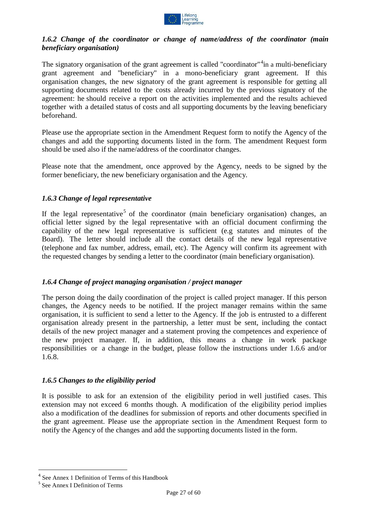

#### <span id="page-26-0"></span>*1.6.2 Change of the coordinator or change of name/address of the coordinator (main beneficiary organisation)*

The signatory organisation of the grant agreement is called "coordinator"<sup>[4](#page-26-4)</sup> in a multi-beneficiary grant agreement and "beneficiary" in a mono-beneficiary grant agreement. If this organisation changes, the new signatory of the grant agreement is responsible for getting all supporting documents related to the costs already incurred by the previous signatory of the agreement: he should receive a report on the activities implemented and the results achieved together with a detailed status of costs and all supporting documents by the leaving beneficiary beforehand.

Please use the appropriate section in the Amendment Request form to notify the Agency of the changes and add the supporting documents listed in the form. The amendment Request form should be used also if the name/address of the coordinator changes.

Please note that the amendment, once approved by the Agency, needs to be signed by the former beneficiary, the new beneficiary organisation and the Agency.

#### <span id="page-26-1"></span>*1.6.3 Change of legal representative*

If the legal representative<sup>[5](#page-26-5)</sup> of the coordinator (main beneficiary organisation) changes, an official letter signed by the legal representative with an official document confirming the capability of the new legal representative is sufficient (e.g statutes and minutes of the Board). The letter should include all the contact details of the new legal representative (telephone and fax number, address, email, etc). The Agency will confirm its agreement with the requested changes by sending a letter to the coordinator (main beneficiary organisation).

#### <span id="page-26-2"></span>*1.6.4 Change of project managing organisation / project manager*

The person doing the daily coordination of the project is called project manager. If this person changes, the Agency needs to be notified. If the project manager remains within the same organisation, it is sufficient to send a letter to the Agency. If the job is entrusted to a different organisation already present in the partnership, a letter must be sent, including the contact details of the new project manager and a statement proving the competences and experience of the new project manager. If, in addition, this means a change in work package responsibilities or a change in the budget, please follow the instructions under 1.6.6 and/or 1.6.8.

#### <span id="page-26-3"></span>*1.6.5 Changes to the eligibility period*

It is possible to ask for an extension of the eligibility period in well justified cases. This extension may not exceed 6 months though. A modification of the eligibility period implies also a modification of the deadlines for submission of reports and other documents specified in the grant agreement. Please use the appropriate section in the Amendment Request form to notify the Agency of the changes and add the supporting documents listed in the form.

<span id="page-26-4"></span><sup>&</sup>lt;sup>4</sup> See Annex 1 Definition of Terms of this Handbook

<span id="page-26-5"></span><sup>5</sup> See Annex I Definition of Terms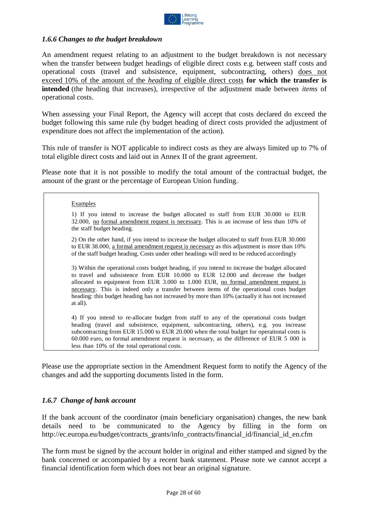

#### <span id="page-27-0"></span>*1.6.6 Changes to the budget breakdown*

An amendment request relating to an adjustment to the budget breakdown is not necessary when the transfer between budget headings of eligible direct costs e.g. between staff costs and operational costs (travel and subsistence, equipment, subcontracting, others) does not exceed 10% of the amount of the *heading* of eligible direct costs **for which the transfer is intended** (the heading that increases), irrespective of the adjustment made between *items* of operational costs.

When assessing your Final Report, the Agency will accept that costs declared do exceed the budget following this same rule (by budget heading of direct costs provided the adjustment of expenditure does not affect the implementation of the action).

This rule of transfer is NOT applicable to indirect costs as they are always limited up to 7% of total eligible direct costs and laid out in Annex II of the grant agreement.

Please note that it is not possible to modify the total amount of the contractual budget, the amount of the grant or the percentage of European Union funding.

#### Examples

1) If you intend to increase the budget allocated to staff from EUR 30.000 to EUR 32.000, no formal amendment request is necessary. This is an increase of less than 10% of the staff budget heading.

2) On the other hand, if you intend to increase the budget allocated to staff from EUR 30.000 to EUR 38.000, a formal amendment request is necessary as this adjustment is more than 10% of the staff budget heading. Costs under other headings will need to be reduced accordingly

3) Within the operational costs budget heading, if you intend to increase the budget allocated to travel and subsistence from EUR 10.000 to EUR 12.000 and decrease the budget allocated to equipment from EUR 3.000 to 1.000 EUR, no formal amendment request is necessary. This is indeed only a transfer between items of the operational costs budget heading: this budget heading has not increased by more than 10% (actually it has not increased at all).

4) If you intend to re-allocate budget from staff to any of the operational costs budget heading (travel and subsistence, equipment, subcontracting, others), e.g. you increase subcontracting from EUR 15.000 to EUR 20.000 when the total budget for operational costs is 60.000 euro, no formal amendment request is necessary, as the difference of EUR 5 000 is less than 10% of the total operational costs.

Please use the appropriate section in the Amendment Request form to notify the Agency of the changes and add the supporting documents listed in the form.

#### <span id="page-27-1"></span>*1.6.7 Change of bank account*

If the bank account of the coordinator (main beneficiary organisation) changes, the new bank details need to be communicated to the Agency by filling in the form on [http://ec.europa.eu/budget/contracts\\_grants/info\\_contracts/financial\\_id/financial\\_id\\_en.cfm](http://ec.europa.eu/budget/contracts_grants/info_contracts/financial_id/financial_id_en.cfm)

The form must be signed by the account holder in original and either stamped and signed by the bank concerned or accompanied by a recent bank statement. Please note we cannot accept a financial identification form which does not bear an original signature.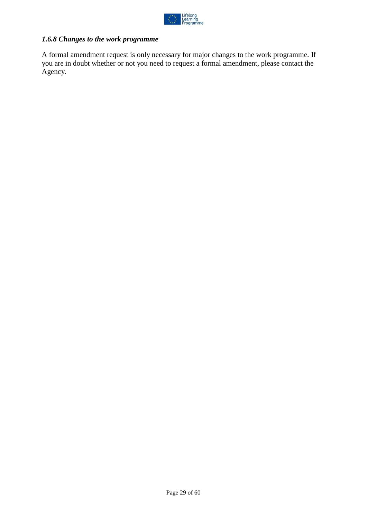

# <span id="page-28-0"></span>*1.6.8 Changes to the work programme*

A formal amendment request is only necessary for major changes to the work programme. If you are in doubt whether or not you need to request a formal amendment, please contact the Agency.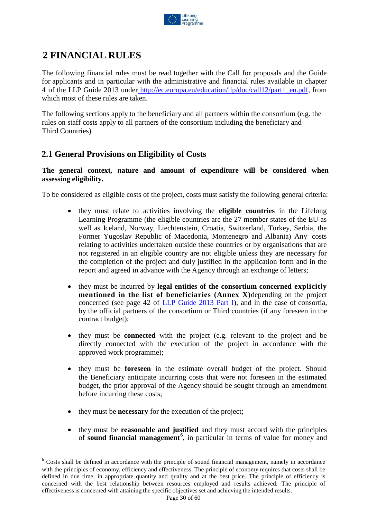

# <span id="page-29-0"></span>**2 FINANCIAL RULES**

The following financial rules must be read together with the Call for proposals and the Guide for applicants and in particular with the administrative and financial rules available in chapter 4 of the LLP Guide 2013 under [http://ec.europa.eu/education/llp/doc/call12/part1\\_en.pdf,](http://ec.europa.eu/education/llp/doc/call12/part1_en.pdf) from which most of these rules are taken.

The following sections apply to the beneficiary and all partners within the consortium (e.g. the rules on staff costs apply to all partners of the consortium including the beneficiary and Third Countries).

# <span id="page-29-1"></span>**2.1 General Provisions on Eligibility of Costs**

#### **The general context, nature and amount of expenditure will be considered when assessing eligibility.**

To be considered as eligible costs of the project, costs must satisfy the following general criteria:

- they must relate to activities involving the **eligible countries** in the Lifelong Learning Programme (the eligible countries are the 27 member states of the EU as well as Iceland, Norway, Liechtenstein, Croatia, Switzerland, Turkey, Serbia, the Former Yugoslav Republic of Macedonia, Montenegro and Albania) Any costs relating to activities undertaken outside these countries or by organisations that are not registered in an eligible country are not eligible unless they are necessary for the completion of the project and duly justified in the application form and in the report and agreed in advance with the Agency through an exchange of letters;
- they must be incurred by **legal entities of the consortium concerned explicitly mentioned in the list of beneficiaries (Annex X)**depending on the project concerned (see page 42 of LLP [Guide](http://ec.europa.eu/education/llp/doc/call12/part1_en.pdf) 2013 Part I), and in the case of consortia, by the official partners of the consortium or Third countries (if any foreseen in the contract budget);
- they must be **connected** with the project (e.g. relevant to the project and be directly connected with the execution of the project in accordance with the approved work programme);
- they must be **foreseen** in the estimate overall budget of the project. Should the Beneficiary anticipate incurring costs that were not foreseen in the estimated budget, the prior approval of the Agency should be sought through an amendment before incurring these costs;
- they must be **necessary** for the execution of the project;
- they must be **reasonable and justified** and they must accord with the principles of **sound financial management [6](#page-29-2)** , in particular in terms of value for money and

<span id="page-29-2"></span><sup>&</sup>lt;sup>6</sup> Costs shall be defined in accordance with the principle of sound financial management, namely in accordance with the principles of economy, efficiency and effectiveness. The principle of economy requires that costs shall be defined in due time, in appropriate quantity and quality and at the best price. The principle of efficiency is concerned with the best relationship between resources employed and results achieved. The principle of effectiveness is concerned with attaining the specific objectives set and achieving the intended results.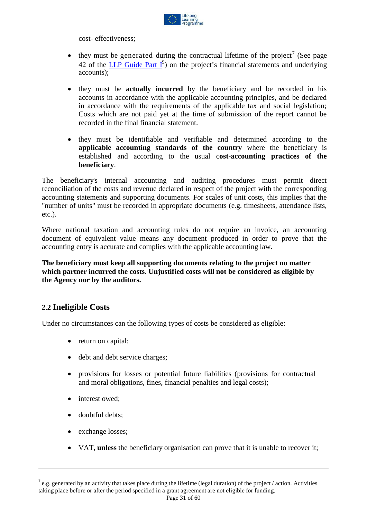

cost- effectiveness;

- they must be generated during the contractual lifetime of the project<sup>[7](#page-30-1)</sup> (See page 42 of the  $LLP$  [Guide Part](http://ec.europa.eu/education/llp/doc/call12/part1_en.pdf)  $I^9$ ) on the project's financial statements and underlying accounts);
- they must be **actually incurred** by the beneficiary and be recorded in his accounts in accordance with the applicable accounting principles, and be declared in accordance with the requirements of the applicable tax and social legislation; Costs which are not paid yet at the time of submission of the report cannot be recorded in the final financial statement.
- they must be identifiable and verifiable and determined according to the **applicable accounting standards of the country** where the beneficiary is established and according to the usual c**ost-accounting practices of the beneficiary**.

The beneficiary's internal accounting and auditing procedures must permit direct reconciliation of the costs and revenue declared in respect of the project with the corresponding accounting statements and supporting documents. For scales of unit costs, this implies that the "number of units" must be recorded in appropriate documents (e.g. timesheets, attendance lists, etc.).

Where national taxation and accounting rules do not require an invoice, an accounting document of equivalent value means any document produced in order to prove that the accounting entry is accurate and complies with the applicable accounting law.

**The beneficiary must keep all supporting documents relating to the project no matter which partner incurred the costs. Unjustified costs will not be considered as eligible by the Agency nor by the auditors.**

### <span id="page-30-0"></span>**2.2 Ineligible Costs**

Under no circumstances can the following types of costs be considered as eligible:

- return on capital;
- debt and debt service charges;
- provisions for losses or potential future liabilities (provisions for contractual and moral obligations, fines, financial penalties and legal costs);
- interest owed;
- doubtful debts;
- exchange losses;

l

• VAT, **unless** the beneficiary organisation can prove that it is unable to recover it;

<span id="page-30-1"></span> $^7$  e.g. generated by an activity that takes place during the lifetime (legal duration) of the project / action. Activities taking place before or after the period specified in a grant agreement are not eligible for funding.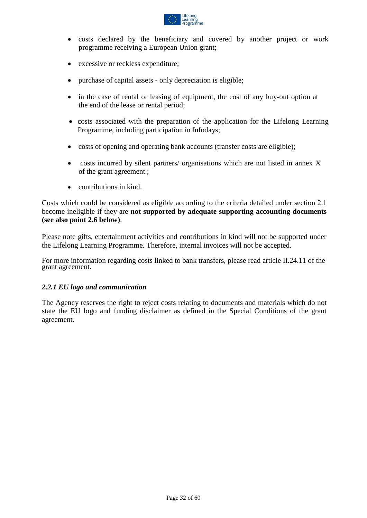

- costs declared by the beneficiary and covered by another project or work programme receiving a European Union grant;
- excessive or reckless expenditure;
- purchase of capital assets only depreciation is eligible;
- in the case of rental or leasing of equipment, the cost of any buy-out option at the end of the lease or rental period;
- costs associated with the preparation of the application for the Lifelong Learning Programme, including participation in Infodays;
- costs of opening and operating bank accounts (transfer costs are eligible);
- costs incurred by silent partners/ organisations which are not listed in annex X of the grant agreement ;
- contributions in kind.

Costs which could be considered as eligible according to the criteria detailed under section 2.1 become ineligible if they are **not supported by adequate supporting accounting documents (see also point 2.6 below)**.

Please note gifts, entertainment activities and contributions in kind will not be supported under the Lifelong Learning Programme. Therefore, internal invoices will not be accepted.

For more information regarding costs linked to bank transfers, please read article II.24.11 of the grant agreement.

#### <span id="page-31-0"></span>*2.2.1 EU logo and communication*

The Agency reserves the right to reject costs relating to documents and materials which do not state the EU logo and funding disclaimer as defined in the Special Conditions of the grant agreement.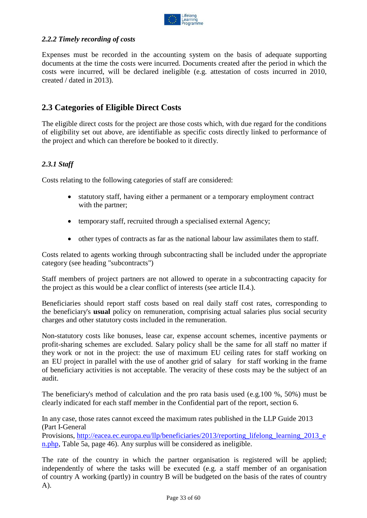

#### <span id="page-32-0"></span>*2.2.2 Timely recording of costs*

Expenses must be recorded in the accounting system on the basis of adequate supporting documents at the time the costs were incurred. Documents created after the period in which the costs were incurred, will be declared ineligible (e.g. attestation of costs incurred in 2010, created / dated in 2013).

## <span id="page-32-1"></span>**2.3 Categories of Eligible Direct Costs**

The eligible direct costs for the project are those costs which, with due regard for the conditions of eligibility set out above, are identifiable as specific costs directly linked to performance of the project and which can therefore be booked to it directly.

#### <span id="page-32-2"></span>*2.3.1 Staff*

Costs relating to the following categories of staff are considered:

- statutory staff, having either a permanent or a temporary employment contract with the partner;
- temporary staff, recruited through a specialised external Agency;
- other types of contracts as far as the national labour law assimilates them to staff.

Costs related to agents working through subcontracting shall be included under the appropriate category (see heading "subcontracts")

Staff members of project partners are not allowed to operate in a subcontracting capacity for the project as this would be a clear conflict of interests (see article II.4.).

Beneficiaries should report staff costs based on real daily staff cost rates, corresponding to the beneficiary's **usual** policy on remuneration, comprising actual salaries plus social security charges and other statutory costs included in the remuneration.

Non-statutory costs like bonuses, lease car, expense account schemes, incentive payments or profit-sharing schemes are excluded. Salary policy shall be the same for all staff no matter if they work or not in the project: the use of maximum EU ceiling rates for staff working on an EU project in parallel with the use of another grid of salary for staff working in the frame of beneficiary activities is not acceptable. The veracity of these costs may be the subject of an audit.

The beneficiary's method of calculation and the pro rata basis used (e.g.100 %, 50%) must be clearly indicated for each staff member in the Confidential part of the report, section 6.

In any case, those rates cannot exceed the maximum rates published in the LLP Guide 2013 (Part I-General

Provisions, [http://eacea.ec.europa.eu/llp/beneficiaries/2013/reporting\\_lifelong\\_learning\\_2013\\_e](http://eacea.ec.europa.eu/llp/beneficiaries/2012/reporting_lifelong_learning_2012_en.php) [n.php,](http://eacea.ec.europa.eu/llp/beneficiaries/2012/reporting_lifelong_learning_2012_en.php) Table 5a, page 46). Any surplus will be considered as ineligible.

The rate of the country in which the partner organisation is registered will be applied; independently of where the tasks will be executed (e.g. a staff member of an organisation of country A working (partly) in country B will be budgeted on the basis of the rates of country A).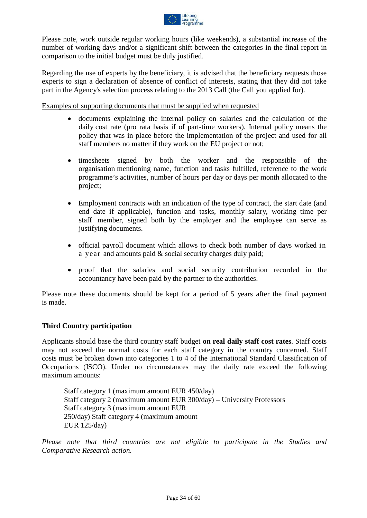

Please note, work outside regular working hours (like weekends), a substantial increase of the number of working days and/or a significant shift between the categories in the final report in comparison to the initial budget must be duly justified.

Regarding the use of experts by the beneficiary, it is advised that the beneficiary requests those experts to sign a declaration of absence of conflict of interests, stating that they did not take part in the Agency's selection process relating to the 2013 Call (the Call you applied for).

Examples of supporting documents that must be supplied when requested

- documents explaining the internal policy on salaries and the calculation of the daily cost rate (pro rata basis if of part-time workers). Internal policy means the policy that was in place before the implementation of the project and used for all staff members no matter if they work on the EU project or not;
- timesheets signed by both the worker and the responsible of the organisation mentioning name, function and tasks fulfilled, reference to the work programme's activities, number of hours per day or days per month allocated to the project;
- Employment contracts with an indication of the type of contract, the start date (and end date if applicable), function and tasks, monthly salary, working time per staff member, signed both by the employer and the employee can serve as justifying documents.
- official payroll document which allows to check both number of days worked in a year and amounts paid & social security charges duly paid;
- proof that the salaries and social security contribution recorded in the accountancy have been paid by the partner to the authorities.

Please note these documents should be kept for a period of 5 years after the final payment is made.

#### **Third Country participation**

Applicants should base the third country staff budget **on real daily staff cost rates**. Staff costs may not exceed the normal costs for each staff category in the country concerned. Staff costs must be broken down into categories 1 to 4 of the International Standard Classification of Occupations (ISCO). Under no circumstances may the daily rate exceed the following maximum amounts:

Staff category 1 (maximum amount EUR 450/day) Staff category 2 (maximum amount EUR 300/day) – University Professors Staff category 3 (maximum amount EUR 250/day) Staff category 4 (maximum amount EUR 125/day)

*Please note that third countries are not eligible to participate in the Studies and Comparative Research action.*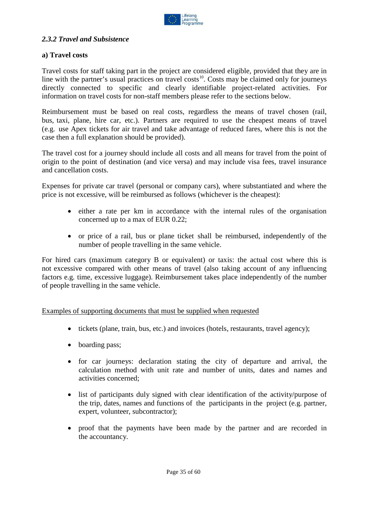

#### <span id="page-34-0"></span>*2.3.2 Travel and Subsistence*

#### **a) Travel costs**

Travel costs for staff taking part in the project are considered eligible, provided that they are in line with the partner's usual practices on travel costs<sup>10</sup>. Costs may be claimed only for journeys directly connected to specific and clearly identifiable project-related activities. For information on travel costs for non-staff members please refer to the sections below.

Reimbursement must be based on real costs, regardless the means of travel chosen (rail, bus, taxi, plane, hire car, etc.). Partners are required to use the cheapest means of travel (e.g. use Apex tickets for air travel and take advantage of reduced fares, where this is not the case then a full explanation should be provided).

The travel cost for a journey should include all costs and all means for travel from the point of origin to the point of destination (and vice versa) and may include visa fees, travel insurance and cancellation costs.

Expenses for private car travel (personal or company cars), where substantiated and where the price is not excessive, will be reimbursed as follows (whichever is the cheapest):

- either a rate per km in accordance with the internal rules of the organisation concerned up to a max of EUR 0.22;
- or price of a rail, bus or plane ticket shall be reimbursed, independently of the number of people travelling in the same vehicle.

For hired cars (maximum category B or equivalent) or taxis: the actual cost where this is not excessive compared with other means of travel (also taking account of any influencing factors e.g. time, excessive luggage). Reimbursement takes place independently of the number of people travelling in the same vehicle.

Examples of supporting documents that must be supplied when requested

- tickets (plane, train, bus, etc.) and invoices (hotels, restaurants, travel agency);
- boarding pass;
- for car journeys: declaration stating the city of departure and arrival, the calculation method with unit rate and number of units, dates and names and activities concerned;
- list of participants duly signed with clear identification of the activity/purpose of the trip, dates, names and functions of the participants in the project (e.g. partner, expert, volunteer, subcontractor);
- proof that the payments have been made by the partner and are recorded in the accountancy.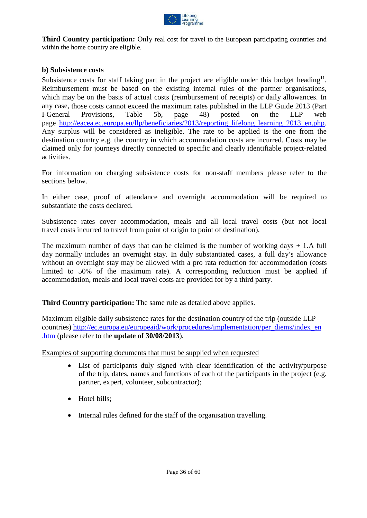

**Third Country participation:** Only real cost for travel to the European participating countries and within the home country are eligible.

#### **b) Subsistence costs**

Subsistence costs for staff taking part in the project are eligible under this budget heading<sup>11</sup>. Reimbursement must be based on the existing internal rules of the partner organisations, which may be on the basis of actual costs (reimbursement of receipts) or daily allowances. In any case, those costs cannot exceed the maximum rates published in the LLP Guide 2013 (Part I-General Provisions, Table 5b, page 48) posted on the LLP web page [http://eacea.ec.europa.eu/llp/beneficiaries/2013/reporting\\_lifelong\\_learning\\_2013\\_en.php.](http://eacea.ec.europa.eu/llp/beneficiaries/2013/reporting_lifelong_learning_2013_en.php)  Any surplus will be considered as ineligible. The rate to be applied is the one from the destination country e.g. the country in which accommodation costs are incurred. Costs may be claimed only for journeys directly connected to specific and clearly identifiable project-related activities.

For information on charging subsistence costs for non-staff members please refer to the sections below.

In either case, proof of attendance and overnight accommodation will be required to substantiate the costs declared.

Subsistence rates cover accommodation, meals and all local travel costs (but not local travel costs incurred to travel from point of origin to point of destination).

The maximum number of days that can be claimed is the number of working days  $+ 1.A$  full day normally includes an overnight stay. In duly substantiated cases, a full day's allowance without an overnight stay may be allowed with a pro rata reduction for accommodation (costs limited to 50% of the maximum rate). A corresponding reduction must be applied if accommodation, meals and local travel costs are provided for by a third party.

**Third Country participation:** The same rule as detailed above applies.

Maximum eligible daily subsistence rates for the destination country of the trip (outside LLP countries) [http://ec.europa.eu/europeaid/work/procedures/implementation/per\\_diems/index\\_en](http://ec.europa.eu/europeaid/work/procedures/implementation/per_diems/index_en.htm) [.htm](http://ec.europa.eu/europeaid/work/procedures/implementation/per_diems/index_en.htm) (please refer to the **update of 30/08/2013**).

Examples of supporting documents that must be supplied when requested

- List of participants duly signed with clear identification of the activity/purpose of the trip, dates, names and functions of each of the participants in the project (e.g. partner, expert, volunteer, subcontractor);
- Hotel bills;
- Internal rules defined for the staff of the organisation travelling.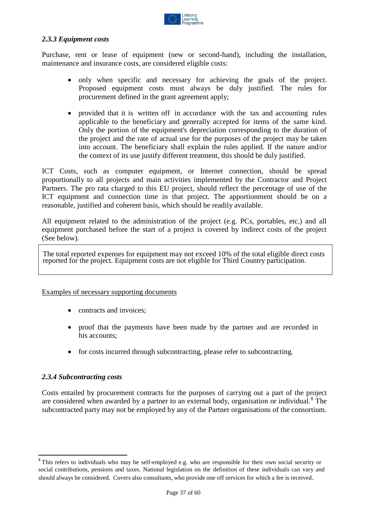

#### <span id="page-36-0"></span>*2.3.3 Equipment costs*

Purchase, rent or lease of equipment (new or second-hand), including the installation, maintenance and insurance costs, are considered eligible costs:

- only when specific and necessary for achieving the goals of the project. Proposed equipment costs must always be duly justified. The rules for procurement defined in the grant agreement apply;
- provided that it is written off in accordance with the tax and accounting rules applicable to the beneficiary and generally accepted for items of the same kind. Only the portion of the equipment's depreciation corresponding to the duration of the project and the rate of actual use for the purposes of the project may be taken into account. The beneficiary shall explain the rules applied. If the nature and/or the context of its use justify different treatment, this should be duly justified.

ICT Costs, such as computer equipment, or Internet connection, should be spread proportionally to all projects and main activities implemented by the Contractor and Project Partners. The pro rata charged to this EU project, should reflect the percentage of use of the ICT equipment and connection time in that project. The apportionment should be on a reasonable, justified and coherent basis, which should be readily available.

All equipment related to the administration of the project (e.g. PCs, portables, etc.) and all equipment purchased before the start of a project is covered by indirect costs of the project (See below).

The total reported expenses for equipment may not exceed 10% of the total eligible direct costs reported for the project. Equipment costs are not eligible for Third Country participation.

#### Examples of necessary supporting documents

- contracts and invoices;
- proof that the payments have been made by the partner and are recorded in his accounts;
- for costs incurred through subcontracting, please refer to subcontracting.

#### <span id="page-36-1"></span>*2.3.4 Subcontracting costs*

Costs entailed by procurement contracts for the purposes of carrying out a part of the project are considered when awarded by a partner to an external body, organisation or individual.<sup>[8](#page-36-2)</sup> The subcontracted party may not be employed by any of the Partner organisations of the consortium.

<span id="page-36-2"></span><sup>&</sup>lt;sup>8</sup> This refers to individuals who may be self-employed e.g. who are responsible for their own social security or social contributions, pensions and taxes. National legislation on the definition of these individuals can vary and should always be considered. Covers also consultants, who provide one off services for which a fee is received.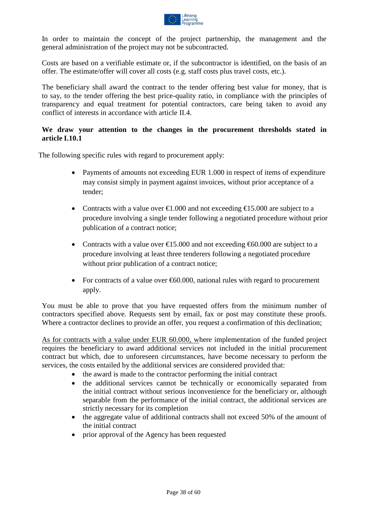

In order to maintain the concept of the project partnership, the management and the general administration of the project may not be subcontracted.

Costs are based on a verifiable estimate or, if the subcontractor is identified, on the basis of an offer. The estimate/offer will cover all costs (e.g. staff costs plus travel costs, etc.).

The beneficiary shall award the contract to the tender offering best value for money, that is to say, to the tender offering the best price-quality ratio, in compliance with the principles of transparency and equal treatment for potential contractors, care being taken to avoid any conflict of interests in accordance with article II.4.

#### **We draw your attention to the changes in the procurement thresholds stated in article I.10.1**

The following specific rules with regard to procurement apply:

- Payments of amounts not exceeding EUR 1.000 in respect of items of expenditure may consist simply in payment against invoices, without prior acceptance of a tender;
- Contracts with a value over  $\epsilon 1.000$  and not exceeding  $\epsilon 15.000$  are subject to a procedure involving a single tender following a negotiated procedure without prior publication of a contract notice;
- Contracts with a value over  $\epsilon$ 15.000 and not exceeding  $\epsilon$ 60.000 are subject to a procedure involving at least three tenderers following a negotiated procedure without prior publication of a contract notice;
- For contracts of a value over  $60.000$ , national rules with regard to procurement apply.

You must be able to prove that you have requested offers from the minimum number of contractors specified above. Requests sent by email, fax or post may constitute these proofs. Where a contractor declines to provide an offer, you request a confirmation of this declination;

As for contracts with a value under EUR 60.000, where implementation of the funded project requires the beneficiary to award additional services not included in the initial procurement contract but which, due to unforeseen circumstances, have become necessary to perform the services, the costs entailed by the additional services are considered provided that:

- the award is made to the contractor performing the initial contract
- the additional services cannot be technically or economically separated from the initial contract without serious inconvenience for the beneficiary or, although separable from the performance of the initial contract, the additional services are strictly necessary for its completion
- the aggregate value of additional contracts shall not exceed 50% of the amount of the initial contract
- prior approval of the Agency has been requested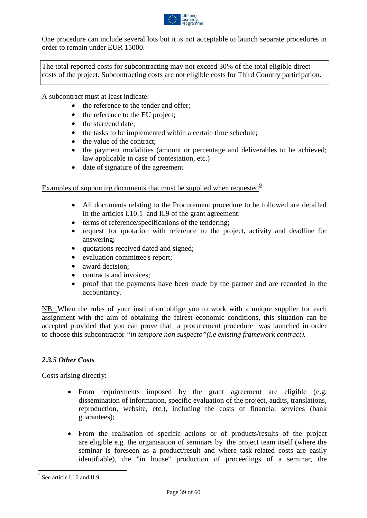

One procedure can include several lots but it is not acceptable to launch separate procedures in order to remain under EUR 15000.

The total reported costs for subcontracting may not exceed 30% of the total eligible direct costs of the project. Subcontracting costs are not eligible costs for Third Country participation.

A subcontract must at least indicate:

- the reference to the tender and offer:
- the reference to the EU project;
- the start/end date;
- the tasks to be implemented within a certain time schedule;
- the value of the contract:
- the payment modalities (amount or percentage and deliverables to be achieved; law applicable in case of contestation, etc.)
- date of signature of the agreement

Examples of supporting documents that must be supplied when requested  $9$ 

- All documents relating to the Procurement procedure to be followed are detailed in the articles I.10.1 and II.9 of the grant agreement:
- terms of reference/specifications of the tendering:
- request for quotation with reference to the project, activity and deadline for answering;
- quotations received dated and signed;
- evaluation committee's report;
- award decision;
- contracts and invoices;
- proof that the payments have been made by the partner and are recorded in the accountancy.

NB: When the rules of your institution oblige you to work with a unique supplier for each assignment with the aim of obtaining the fairest economic conditions, this situation can be accepted provided that you can prove that a procurement procedure was launched in order to choose this subcontractor *"in tempore non suspecto"(i.e existing framework contract).*

#### <span id="page-38-0"></span>*2.3.5 Other Costs*

Costs arising directly:

- From requirements imposed by the grant agreement are eligible (e.g. dissemination of information, specific evaluation of the project, audits, translations, reproduction, website, etc.), including the costs of financial services (bank guarantees);
- From the realisation of specific actions or of products/results of the project are eligible e.g. the organisation of seminars by the project team itself (where the seminar is foreseen as a product/result and where task-related costs are easily identifiable), the "in house" production of proceedings of a seminar, the

<span id="page-38-1"></span><sup>&</sup>lt;sup>9</sup> See article I.10 and II.9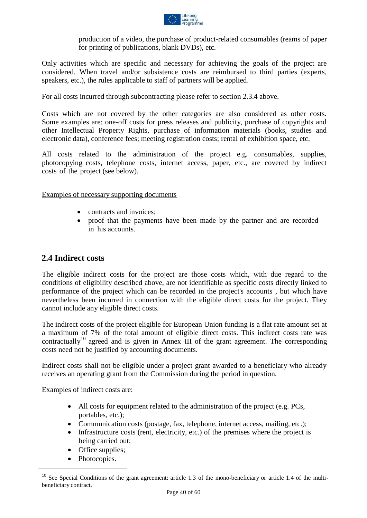

production of a video, the purchase of product-related consumables (reams of paper for printing of publications, blank DVDs), etc.

Only activities which are specific and necessary for achieving the goals of the project are considered. When travel and/or subsistence costs are reimbursed to third parties (experts, speakers, etc.), the rules applicable to staff of partners will be applied.

For all costs incurred through subcontracting please refer to section 2.3.4 above.

Costs which are not covered by the other categories are also considered as other costs. Some examples are: one-off costs for press releases and publicity, purchase of copyrights and other Intellectual Property Rights, purchase of information materials (books, studies and electronic data), conference fees; meeting registration costs; rental of exhibition space, etc.

All costs related to the administration of the project e.g. consumables, supplies, photocopying costs, telephone costs, internet access, paper, etc., are covered by indirect costs of the project (see below).

#### Examples of necessary supporting documents

- contracts and invoices:
- proof that the payments have been made by the partner and are recorded in his accounts.

### <span id="page-39-0"></span>**2.4 Indirect costs**

The eligible indirect costs for the project are those costs which, with due regard to the conditions of eligibility described above, are not identifiable as specific costs directly linked to performance of the project which can be recorded in the project's accounts , but which have nevertheless been incurred in connection with the eligible direct costs for the project. They cannot include any eligible direct costs.

The indirect costs of the project eligible for European Union funding is a flat rate amount set at a maximum of 7% of the total amount of eligible direct costs. This indirect costs rate was contractually<sup>[10](#page-39-1)</sup> agreed and is given in Annex III of the grant agreement. The corresponding costs need not be justified by accounting documents.

Indirect costs shall not be eligible under a project grant awarded to a beneficiary who already receives an operating grant from the Commission during the period in question.

Examples of indirect costs are:

- All costs for equipment related to the administration of the project (e.g. PCs, portables, etc.);
- Communication costs (postage, fax, telephone, internet access, mailing, etc.);
- Infrastructure costs (rent, electricity, etc.) of the premises where the project is being carried out;
- Office supplies;
- Photocopies.

<span id="page-39-1"></span> $10$  See Special Conditions of the grant agreement: article 1.3 of the mono-beneficiary or article 1.4 of the multibeneficiary contract.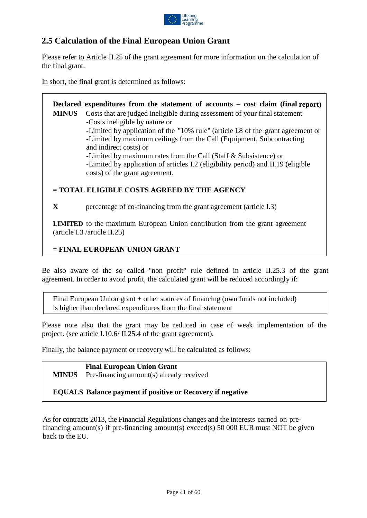

# <span id="page-40-0"></span>**2.5 Calculation of the Final European Union Grant**

Please refer to Article II.25 of the grant agreement for more information on the calculation of the final grant.

In short, the final grant is determined as follows:

**Declared expenditures from the statement of accounts – cost claim (final report) MINUS** Costs that are judged ineligible during assessment of your final statement -Costs ineligible by nature or -Limited by application of the "10% rule" (article I.8 of the grant agreement or -Limited by maximum ceilings from the Call (Equipment, Subcontracting and indirect costs) or -Limited by maximum rates from the Call (Staff & Subsistence) or -Limited by application of articles I.2 (eligibility period) and II.19 (eligible costs) of the grant agreement.

#### **= TOTAL ELIGIBLE COSTS AGREED BY THE AGENCY**

**X** percentage of co-financing from the grant agreement (article I.3)

**LIMITED** to the maximum European Union contribution from the grant agreement (article I.3 /article II.25)

#### = **FINAL EUROPEAN UNION GRANT**

Be also aware of the so called "non profit" rule defined in article II.25.3 of the grant agreement. In order to avoid profit, the calculated grant will be reduced accordingly if:

Final European Union grant + other sources of financing (own funds not included) is higher than declared expenditures from the final statement

Please note also that the grant may be reduced in case of weak implementation of the project. (see article I.10.6/ II.25.4 of the grant agreement).

Finally, the balance payment or recovery will be calculated as follows:

**Final European Union Grant MINUS** Pre-financing amount(s) already received

#### **EQUALS Balance payment if positive or Recovery if negative**

As for contracts 2013, the Financial Regulations changes and the interests earned on prefinancing amount(s) if pre-financing amount(s) exceed(s) 50 000 EUR must NOT be given back to the EU.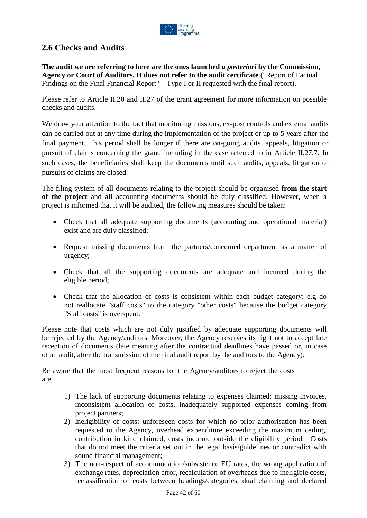

# <span id="page-41-0"></span>**2.6 Checks and Audits**

**The audit we are referring to here are the ones launched** *a posteriori* **by the Commission, Agency or Court of Auditors. It does not refer to the audit certificate** ("Report of Factual Findings on the Final Financial Report" – Type I or II requested with the final report).

Please refer to Article II.20 and II.27 of the grant agreement for more information on possible checks and audits.

We draw your attention to the fact that monitoring missions, ex-post controls and external audits can be carried out at any time during the implementation of the project or up to 5 years after the final payment. This period shall be longer if there are on-going audits, appeals, litigation or pursuit of claims concerning the grant, including in the case referred to in Article II.27.7. In such cases, the beneficiaries shall keep the documents until such audits, appeals, litigation or pursuits of claims are closed.

The filing system of all documents relating to the project should be organised **from the start of the project** and all accounting documents should be duly classified. However, when a project is informed that it will be audited, the following measures should be taken:

- Check that all adequate supporting documents (accounting and operational material) exist and are duly classified;
- Request missing documents from the partners/concerned department as a matter of urgency;
- Check that all the supporting documents are adequate and incurred during the eligible period;
- Check that the allocation of costs is consistent within each budget category: e.g do not reallocate "staff costs" to the category "other costs" because the budget category "Staff costs" is overspent.

Please note that costs which are not duly justified by adequate supporting documents will be rejected by the Agency/auditors. Moreover, the Agency reserves its right not to accept late reception of documents (late meaning after the contractual deadlines have passed or, in case of an audit, after the transmission of the final audit report by the auditors to the Agency).

Be aware that the most frequent reasons for the Agency/auditors to reject the costs are:

- 1) The lack of supporting documents relating to expenses claimed: missing invoices, inconsistent allocation of costs, inadequately supported expenses coming from project partners;
- 2) Ineligibility of costs: unforeseen costs for which no prior authorisation has been requested to the Agency, overhead expenditure exceeding the maximum ceiling, contribution in kind claimed, costs incurred outside the eligibility period. Costs that do not meet the criteria set out in the legal basis/guidelines or contradict with sound financial management;
- 3) The non-respect of accommodation/subsistence EU rates, the wrong application of exchange rates, depreciation error, recalculation of overheads due to ineligible costs, reclassification of costs between headings/categories, dual claiming and declared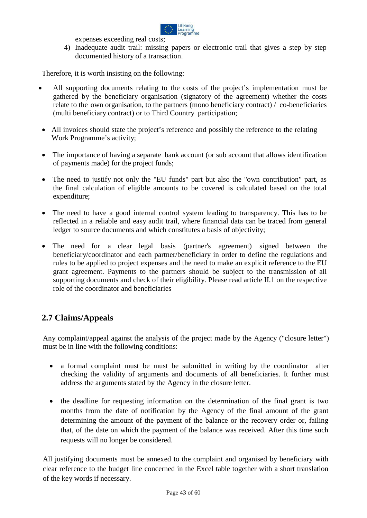

expenses exceeding real costs;

4) Inadequate audit trail: missing papers or electronic trail that gives a step by step documented history of a transaction.

Therefore, it is worth insisting on the following:

- All supporting documents relating to the costs of the project's implementation must be gathered by the beneficiary organisation (signatory of the agreement) whether the costs relate to the own organisation, to the partners (mono beneficiary contract) / co-beneficiaries (multi beneficiary contract) or to Third Country participation;
- All invoices should state the project's reference and possibly the reference to the relating Work Programme's activity;
- The importance of having a separate bank account (or sub account that allows identification of payments made) for the project funds;
- The need to justify not only the "EU funds" part but also the "own contribution" part, as the final calculation of eligible amounts to be covered is calculated based on the total expenditure;
- The need to have a good internal control system leading to transparency. This has to be reflected in a reliable and easy audit trail, where financial data can be traced from general ledger to source documents and which constitutes a basis of objectivity;
- The need for a clear legal basis (partner's agreement) signed between the beneficiary/coordinator and each partner/beneficiary in order to define the regulations and rules to be applied to project expenses and the need to make an explicit reference to the EU grant agreement. Payments to the partners should be subject to the transmission of all supporting documents and check of their eligibility. Please read article II.1 on the respective role of the coordinator and beneficiaries

### <span id="page-42-0"></span>**2.7 Claims/Appeals**

Any complaint/appeal against the analysis of the project made by the Agency ("closure letter") must be in line with the following conditions:

- a formal complaint must be must be submitted in writing by the coordinator after checking the validity of arguments and documents of all beneficiaries. It further must address the arguments stated by the Agency in the closure letter.
- the deadline for requesting information on the determination of the final grant is two months from the date of notification by the Agency of the final amount of the grant determining the amount of the payment of the balance or the recovery order or, failing that, of the date on which the payment of the balance was received. After this time such requests will no longer be considered.

All justifying documents must be annexed to the complaint and organised by beneficiary with clear reference to the budget line concerned in the Excel table together with a short translation of the key words if necessary.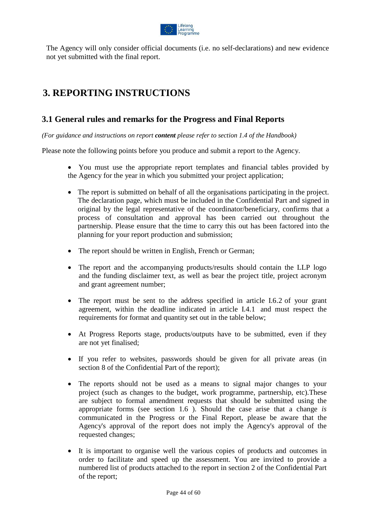

The Agency will only consider official documents (i.e. no self-declarations) and new evidence not yet submitted with the final report.

# <span id="page-43-0"></span>**3. REPORTING INSTRUCTIONS**

## <span id="page-43-1"></span>**3.1 General rules and remarks for the Progress and Final Reports**

*(For guidance and instructions on report content please refer to section 1.4 of the Handbook)*

Please note the following points before you produce and submit a report to the Agency.

- You must use the appropriate report templates and financial tables provided by the Agency for the year in which you submitted your project application;
- The report is submitted on behalf of all the organisations participating in the project. The declaration page, which must be included in the Confidential Part and signed in original by the legal representative of the coordinator/beneficiary, confirms that a process of consultation and approval has been carried out throughout the partnership. Please ensure that the time to carry this out has been factored into the planning for your report production and submission;
- The report should be written in English, French or German;
- The report and the accompanying products/results should contain the LLP logo and the funding disclaimer text, as well as bear the project title, project acronym and grant agreement number;
- The report must be sent to the address specified in article I.6.2 of your grant agreement, within the deadline indicated in article I.4.1 and must respect the requirements for format and quantity set out in the table below;
- At Progress Reports stage, products/outputs have to be submitted, even if they are not yet finalised;
- If you refer to websites, passwords should be given for all private areas (in section 8 of the Confidential Part of the report);
- The reports should not be used as a means to signal major changes to your project (such as changes to the budget, work programme, partnership, etc).These are subject to formal amendment requests that should be submitted using the appropriate forms (see section 1.6 ). Should the case arise that a change *is*  communicated in the Progress or the Final Report, please be aware that the Agency's approval of the report does not imply the Agency's approval of the requested changes;
- It is important to organise well the various copies of products and outcomes in order to facilitate and speed up the assessment. You are invited to provide a numbered list of products attached to the report in section 2 of the Confidential Part of the report;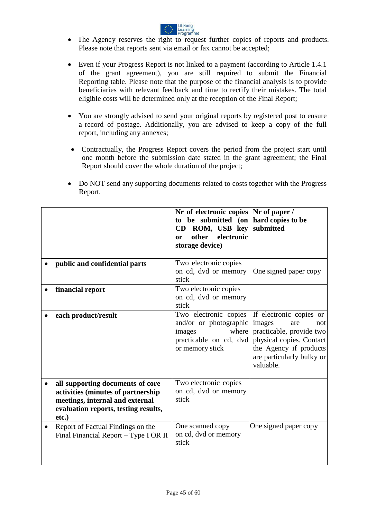

- The Agency reserves the right to request further copies of reports and products. Please note that reports sent via email or fax cannot be accepted;
- Even if your Progress Report is not linked to a payment (according to Article 1.4.1 of the grant agreement), you are still required to submit the Financial Reporting table. Please note that the purpose of the financial analysis is to provide beneficiaries with relevant feedback and time to rectify their mistakes. The total eligible costs will be determined only at the reception of the Final Report;
- You are strongly advised to send your original reports by registered post to ensure a record of postage. Additionally, you are advised to keep a copy of the full report, including any annexes;
- Contractually, the Progress Report covers the period from the project start until one month before the submission date stated in the grant agreement; the Final Report should cover the whole duration of the project;
- Do NOT send any supporting documents related to costs together with the Progress Report.

|           |                                                                                                                                                            | Nr of electronic copies Nr of paper /<br>to be submitted (on hard copies to be<br>ROM, USB key<br>CD<br>electronic<br>other<br>0r<br>storage device) | submitted                                                                                                                                                                   |
|-----------|------------------------------------------------------------------------------------------------------------------------------------------------------------|------------------------------------------------------------------------------------------------------------------------------------------------------|-----------------------------------------------------------------------------------------------------------------------------------------------------------------------------|
|           | public and confidential parts                                                                                                                              | Two electronic copies<br>on cd, dvd or memory<br>stick                                                                                               | One signed paper copy                                                                                                                                                       |
|           | financial report                                                                                                                                           | Two electronic copies<br>on cd, dvd or memory<br>stick                                                                                               |                                                                                                                                                                             |
|           | each product/result                                                                                                                                        | Two electronic copies<br>and/or or photographic<br>where<br>images<br>practicable on cd, dvd<br>or memory stick                                      | If electronic copies or<br>images<br>are<br>not<br>practicable, provide two<br>physical copies. Contact<br>the Agency if products<br>are particularly bulky or<br>valuable. |
|           | all supporting documents of core<br>activities (minutes of partnership<br>meetings, internal and external<br>evaluation reports, testing results,<br>etc.) | Two electronic copies<br>on cd, dvd or memory<br>stick                                                                                               |                                                                                                                                                                             |
| $\bullet$ | Report of Factual Findings on the<br>Final Financial Report - Type I OR II                                                                                 | One scanned copy<br>on cd, dvd or memory<br>stick                                                                                                    | One signed paper copy                                                                                                                                                       |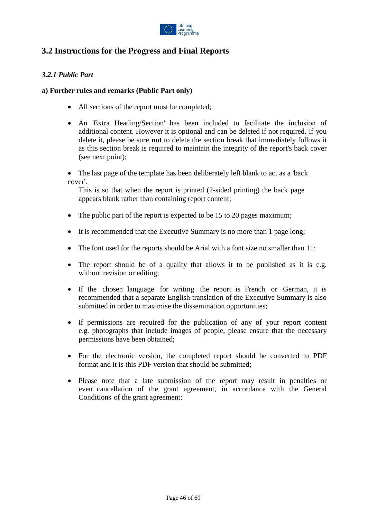

# <span id="page-45-0"></span>**3.2 Instructions for the Progress and Final Reports**

#### <span id="page-45-1"></span>*3.2.1 Public Part*

#### **a) Further rules and remarks (Public Part only)**

- All sections of the report must be completed;
- An 'Extra Heading/Section' has been included to facilitate the inclusion of additional content. However it is optional and can be deleted if not required. If you delete it, please be sure **not** to delete the section break that immediately follows it as this section break is required to maintain the integrity of the report's back cover (see next point);
- The last page of the template has been deliberately left blank to act as a 'back' cover'.

This is so that when the report is printed (2-sided printing) the back page appears blank rather than containing report content;

- The public part of the report is expected to be 15 to 20 pages maximum;
- It is recommended that the Executive Summary is no more than 1 page long;
- The font used for the reports should be Arial with a font size no smaller than 11;
- The report should be of a quality that allows it to be published as it is e.g. without revision or editing;
- If the chosen language for writing the report is French or German, it is recommended that a separate English translation of the Executive Summary is also submitted in order to maximise the dissemination opportunities;
- If permissions are required for the publication of any of your report content e.g. photographs that include images of people, please ensure that the necessary permissions have been obtained;
- For the electronic version, the completed report should be converted to PDF format and it is this PDF version that should be submitted;
- Please note that a late submission of the report may result in penalties or even cancellation of the grant agreement, in accordance with the General Conditions of the grant agreement;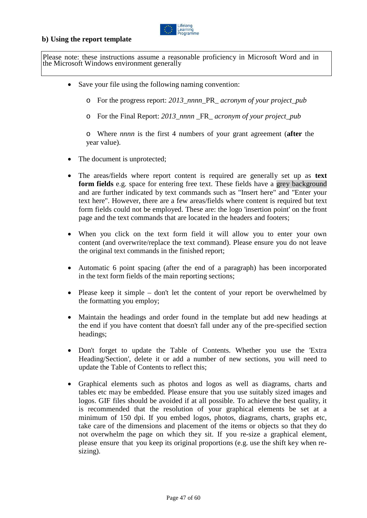

#### **b) Using the report template**

Please note: these instructions assume a reasonable proficiency in Microsoft Word and in the Microsoft Windows environment generally

- Save your file using the following naming convention:
	- o For the progress report: *2013*\_*nnnn*\_PR\_ *acronym of your project\_pub*
	- o For the Final Report: *2013*\_*nnnn* \_FR\_ *acronym of your project\_pub*

o Where *nnnn* is the first 4 numbers of your grant agreement (**after** the year value).

- The document is unprotected;
- The areas/fields where report content is required are generally set up as **text form fields** e.g. space for entering free text. These fields have a grey background and are further indicated by text commands such as "Insert here" and "Enter your text here". However, there are a few areas/fields where content is required but text form fields could not be employed. These are: the logo 'insertion point' on the front page and the text commands that are located in the headers and footers;
- When you click on the text form field it will allow you to enter your own content (and overwrite/replace the text command). Please ensure you do not leave the original text commands in the finished report;
- Automatic 6 point spacing (after the end of a paragraph) has been incorporated in the text form fields of the main reporting sections;
- Please keep it simple don't let the content of your report be overwhelmed by the formatting you employ;
- Maintain the headings and order found in the template but add new headings at the end if you have content that doesn't fall under any of the pre-specified section headings;
- Don't forget to update the Table of Contents. Whether you use the 'Extra Heading/Section', delete it or add a number of new sections, you will need to update the Table of Contents to reflect this;
- Graphical elements such as photos and logos as well as diagrams, charts and tables etc may be embedded. Please ensure that you use suitably sized images and logos. GIF files should be avoided if at all possible. To achieve the best quality, it is recommended that the resolution of your graphical elements be set at a minimum of 150 dpi. If you embed logos, photos, diagrams, charts, graphs etc, take care of the dimensions and placement of the items or objects so that they do not overwhelm the page on which they sit. If you re-size a graphical element, please ensure that you keep its original proportions (e.g. use the shift key when resizing).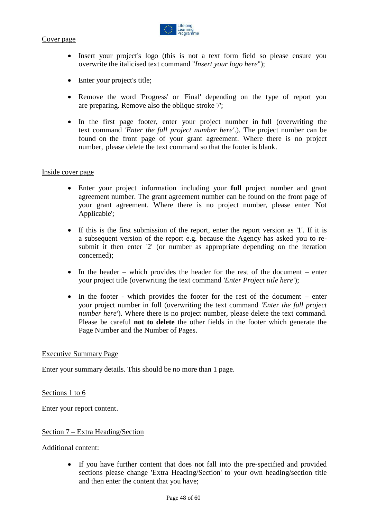



- Insert your project's logo (this is not a text form field so please ensure you overwrite the italicised text command "*Insert your logo here*");
- Enter your project's title;
- Remove the word 'Progress' or 'Final' depending on the type of report you are preparing. Remove also the oblique stroke '/';
- In the first page footer, enter your project number in full (overwriting the text command *'Enter the full project number here'*.). The project number can be found on the front page of your grant agreement. Where there is no project number, please delete the text command so that the footer is blank.

#### Inside cover page

- Enter your project information including your **full** project number and grant agreement number. The grant agreement number can be found on the front page of your grant agreement. Where there is no project number, please enter 'Not Applicable';
- If this is the first submission of the report, enter the report version as '1'. If it is a subsequent version of the report e.g. because the Agency has asked you to resubmit it then enter '2' (or number as appropriate depending on the iteration concerned);
- In the header which provides the header for the rest of the document enter your project title (overwriting the text command *'Enter Project title here'*);
- In the footer which provides the footer for the rest of the document enter your project number in full (overwriting the text command *'Enter the full project number here'*). Where there is no project number, please delete the text command. Please be careful **not to delete** the other fields in the footer which generate the Page Number and the Number of Pages.

#### Executive Summary Page

Enter your summary details. This should be no more than 1 page.

Sections 1 to 6

Enter your report content.

#### Section 7 – Extra Heading/Section

Additional content:

• If you have further content that does not fall into the pre-specified and provided sections please change 'Extra Heading/Section' to your own heading/section title and then enter the content that you have;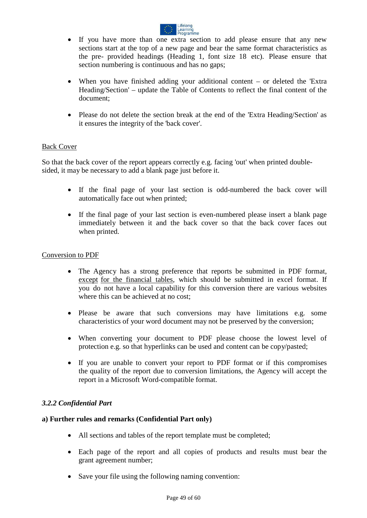

- If you have more than one extra section to add please ensure that any new sections start at the top of a new page and bear the same format characteristics as the pre- provided headings (Heading 1, font size 18 etc). Please ensure that section numbering is continuous and has no gaps;
- When you have finished adding your additional content  $-$  or deleted the 'Extra Heading/Section' – update the Table of Contents to reflect the final content of the document;
- Please do not delete the section break at the end of the 'Extra Heading/Section' as it ensures the integrity of the 'back cover'.

#### Back Cover

So that the back cover of the report appears correctly e.g. facing 'out' when printed doublesided, it may be necessary to add a blank page just before it.

- If the final page of your last section is odd-numbered the back cover will automatically face out when printed;
- If the final page of your last section is even-numbered please insert a blank page immediately between it and the back cover so that the back cover faces out when printed.

#### Conversion to PDF

- The Agency has a strong preference that reports be submitted in PDF format, except for the financial tables, which should be submitted in excel format. If you do not have a local capability for this conversion there are various websites where this can be achieved at no cost;
- Please be aware that such conversions may have limitations e.g. some characteristics of your word document may not be preserved by the conversion;
- When converting your document to PDF please choose the lowest level of protection e.g. so that hyperlinks can be used and content can be copy/pasted;
- If you are unable to convert your report to PDF format or if this compromises the quality of the report due to conversion limitations, the Agency will accept the report in a Microsoft Word-compatible format.

#### <span id="page-48-0"></span>*3.2.2 Confidential Part*

#### **a) Further rules and remarks (Confidential Part only)**

- All sections and tables of the report template must be completed;
- Each page of the report and all copies of products and results must bear the grant agreement number;
- Save your file using the following naming convention: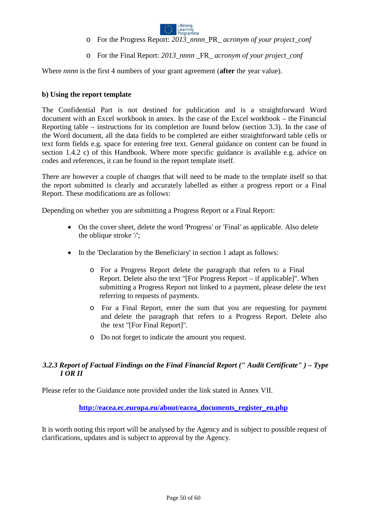

- o For the Progress Report: *2013*\_*nnnn*\_PR\_ *acronym of your project\_conf*
- o For the Final Report: *2013*\_*nnnn* \_FR\_ *acronym of your project\_conf*

Where *nnnn* is the first 4 numbers of your grant agreement (**after** the year value).

#### **b) Using the report template**

The Confidential Part is not destined for publication and is a straightforward Word document with an Excel workbook in annex. In the case of the Excel workbook – the Financial Reporting table – instructions for its completion are found below (section 3.3). In the case of the Word document, all the data fields to be completed are either straightforward table cells or text form fields e.g. space for entering free text. General guidance on content can be found in section 1.4.2 c) of this Handbook. Where more specific guidance is available e.g. advice on codes and references, it can be found in the report template itself.

There are however a couple of changes that will need to be made to the template itself so that the report submitted is clearly and accurately labelled as either a progress report or a Final Report. These modifications are as follows:

Depending on whether you are submitting a Progress Report or a Final Report:

- On the cover sheet, delete the word 'Progress' or 'Final' as applicable. Also delete the oblique stroke '/';
- In the 'Declaration by the Beneficiary' in section 1 adapt as follows:
	- o For a Progress Report delete the paragraph that refers to a Final Report. Delete also the text "[For Progress Report – if applicable]". When submitting a Progress Report not linked to a payment, please delete the text referring to requests of payments.
	- o For a Final Report, enter the sum that you are requesting for payment and delete the paragraph that refers to a Progress Report. Delete also the text "[For Final Report]".
	- o Do not forget to indicate the amount you request.

#### <span id="page-49-0"></span>*3.2.3 Report of Factual Findings on the Final Financial Report (" Audit Certificate" ) – Type I OR II*

Please refer to the Guidance note provided under the link stated in Annex VII.

#### **[http://eacea.ec.europa.eu/about/eacea\\_documents\\_register\\_en.php](http://eacea.ec.europa.eu/about/eacea_documents_register_en.php)**

It is worth noting this report will be analysed by the Agency and is subject to possible request of clarifications, updates and is subject to approval by the Agency.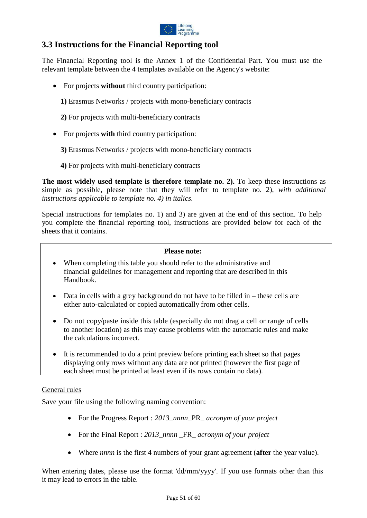

# <span id="page-50-0"></span>**3.3 Instructions for the Financial Reporting tool**

The Financial Reporting tool is the Annex 1 of the Confidential Part. You must use the relevant template between the 4 templates available on the Agency's website:

- For projects **without** third country participation:
	- **1)** Erasmus Networks / projects with mono-beneficiary contracts
	- **2)** For projects with multi-beneficiary contracts
- For projects **with** third country participation:
	- **3)** Erasmus Networks / projects with mono-beneficiary contracts
	- **4)** For projects with multi-beneficiary contracts

**The most widely used template is therefore template no. 2).** To keep these instructions as simple as possible, please note that they will refer to template no. 2), *with additional instructions applicable to template no. 4) in italics.*

Special instructions for templates no. 1) and 3) are given at the end of this section. To help you complete the financial reporting tool, instructions are provided below for each of the sheets that it contains.

#### **Please note:**

- When completing this table you should refer to the administrative and financial guidelines for management and reporting that are described in this Handbook.
- Data in cells with a grey background do not have to be filled in  $-$  these cells are either auto-calculated or copied automatically from other cells.
- Do not copy/paste inside this table (especially do not drag a cell or range of cells to another location) as this may cause problems with the automatic rules and make the calculations incorrect.
- It is recommended to do a print preview before printing each sheet so that pages displaying only rows without any data are not printed (however the first page of each sheet must be printed at least even if its rows contain no data).

#### General rules

Save your file using the following naming convention:

- For the Progress Report : *2013*\_*nnnn*\_PR\_ *acronym of your project*
- For the Final Report : *2013*\_*nnnn* \_FR\_ *acronym of your project*
- Where *nnnn* is the first 4 numbers of your grant agreement (**after** the year value).

When entering dates, please use the format 'dd/mm/yyyy'. If you use formats other than this it may lead to errors in the table.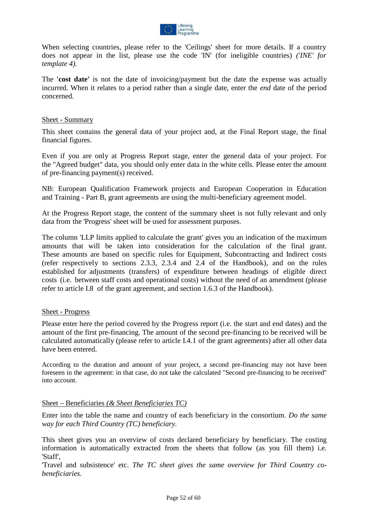

When selecting countries, please refer to the 'Ceilings' sheet for more details. If a country does not appear in the list, please use the code 'IN' (for ineligible countries) *('INE' for template 4).*

The **'cost date'** is not the date of invoicing/payment but the date the expense was actually incurred. When it relates to a period rather than a single date, enter the *end* date of the period concerned.

#### Sheet - Summary

This sheet contains the general data of your project and, at the Final Report stage, the final financial figures.

Even if you are only at Progress Report stage, enter the general data of your project. For the "Agreed budget" data, you should only enter data in the white cells. Please enter the amount of pre-financing payment(s) received.

NB: European Qualification Framework projects and European Cooperation in Education and Training - Part B, grant agreements are using the multi-beneficiary agreement model.

At the Progress Report stage, the content of the summary sheet is not fully relevant and only data from the 'Progress' sheet will be used for assessment purposes.

The column 'LLP limits applied to calculate the grant' gives you an indication of the maximum amounts that will be taken into consideration for the calculation of the final grant. These amounts are based on specific rules for Equipment, Subcontracting and Indirect costs (refer respectively to sections 2.3.3, 2.3.4 and 2.4 of the Handbook), and on the rules established for adjustments (transfers) of expenditure between headings of eligible direct costs (i.e. between staff costs and operational costs) without the need of an amendment (please refer to article I.8 of the grant agreement, and section 1.6.3 of the Handbook).

#### Sheet - Progress

Please enter here the period covered by the Progress report (i.e. the start and end dates) and the amount of the first pre-financing. The amount of the second pre-financing to be received will be calculated automatically (please refer to article I.4.1 of the grant agreements) after all other data have been entered.

According to the duration and amount of your project, a second pre-financing may not have been foreseen in the agreement: in that case, do not take the calculated "Second pre-financing to be received" into account.

#### Sheet – Beneficiaries *(& Sheet Beneficiaries TC)*

Enter into the table the name and country of each beneficiary in the consortium. *Do the same way for each Third Country (TC) beneficiary.*

This sheet gives you an overview of costs declared beneficiary by beneficiary. The costing information is automatically extracted from the sheets that follow (as you fill them) i.e. 'Staff',

'Travel and subsistence' etc. *The TC sheet gives the same overview for Third Country cobeneficiaries.*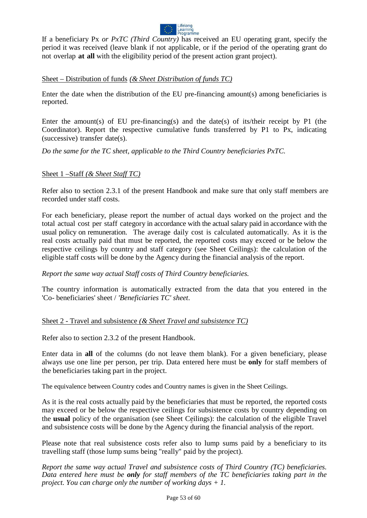

If a beneficiary Px *or PxTC (Third Country)* has received an EU operating grant, specify the period it was received (leave blank if not applicable, or if the period of the operating grant do not overlap **at all** with the eligibility period of the present action grant project).

#### Sheet – Distribution of funds *(& Sheet Distribution of funds TC)*

Enter the date when the distribution of the EU pre-financing amount(s) among beneficiaries is reported.

Enter the amount(s) of EU pre-financing(s) and the date(s) of its/their receipt by P1 (the Coordinator). Report the respective cumulative funds transferred by P1 to Px, indicating (successive) transfer date(s).

*Do the same for the TC sheet, applicable to the Third Country beneficiaries PxTC.*

#### Sheet 1 –Staff *(& Sheet Staff TC)*

Refer also to section 2.3.1 of the present Handbook and make sure that only staff members are recorded under staff costs.

For each beneficiary, please report the number of actual days worked on the project and the total actual cost per staff category in accordance with the actual salary paid in accordance with the usual policy on remuneration. The average daily cost is calculated automatically. As it is the real costs actually paid that must be reported, the reported costs may exceed or be below the respective ceilings by country and staff category (see Sheet Ceilings): the calculation of the eligible staff costs will be done by the Agency during the financial analysis of the report.

#### *Report the same way actual Staff costs of Third Country beneficiaries.*

The country information is automatically extracted from the data that you entered in the 'Co- beneficiaries' sheet / *'Beneficiaries TC' sheet*.

#### Sheet 2 - Travel and subsistence *(& Sheet Travel and subsistence TC)*

Refer also to section 2.3.2 of the present Handbook.

Enter data in **all** of the columns (do not leave them blank). For a given beneficiary, please always use one line per person, per trip. Data entered here must be **only** for staff members of the beneficiaries taking part in the project.

The equivalence between Country codes and Country names is given in the Sheet Ceilings.

As it is the real costs actually paid by the beneficiaries that must be reported, the reported costs may exceed or be below the respective ceilings for subsistence costs by country depending on the **usual** policy of the organisation (see Sheet Ceilings): the calculation of the eligible Travel and subsistence costs will be done by the Agency during the financial analysis of the report.

Please note that real subsistence costs refer also to lump sums paid by a beneficiary to its travelling staff (those lump sums being "really" paid by the project).

*Report the same way actual Travel and subsistence costs of Third Country (TC) beneficiaries. Data entered here must be only for staff members of the TC beneficiaries taking part in the project. You can charge only the number of working days + 1.*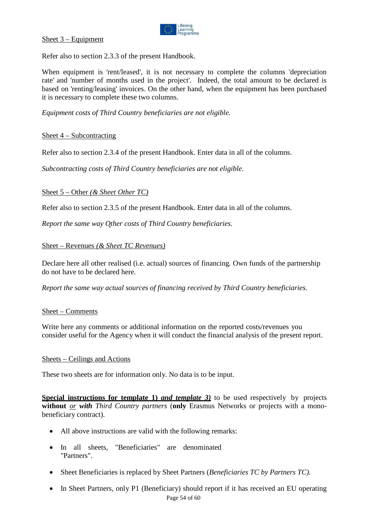

Sheet 3 – Equipment

Refer also to section 2.3.3 of the present Handbook.

When equipment is 'rent/leased', it is not necessary to complete the columns 'depreciation rate' and 'number of months used in the project'. Indeed, the total amount to be declared is based on 'renting/leasing' invoices. On the other hand, when the equipment has been purchased it is necessary to complete these two columns.

*Equipment costs of Third Country beneficiaries are not eligible.*

#### Sheet 4 – Subcontracting

Refer also to section 2.3.4 of the present Handbook. Enter data in all of the columns.

*Subcontracting costs of Third Country beneficiaries are not eligible.*

#### Sheet 5 – Other *(& Sheet Other TC)*

Refer also to section 2.3.5 of the present Handbook. Enter data in all of the columns.

*Report the same way Other costs of Third Country beneficiaries.*

#### Sheet – Revenues *(& Sheet TC Revenues)*

Declare here all other realised (i.e. actual) sources of financing. Own funds of the partnership do not have to be declared here.

*Report the same way actual sources of financing received by Third Country beneficiaries.*

#### Sheet – Comments

Write here any comments or additional information on the reported costs/revenues you consider useful for the Agency when it will conduct the financial analysis of the present report.

#### Sheets – Ceilings and Actions

These two sheets are for information only. No data is to be input.

**Special instructions for template 1)** *and template 3* to be used respectively by projects **without** *or with Third Country partners* (**only** Erasmus Networks or projects with a monobeneficiary contract).

- All above instructions are valid with the following remarks:
- In all sheets, "Beneficiaries" are denominated "Partners".
- Sheet Beneficiaries is replaced by Sheet Partners (*Beneficiaries TC by Partners TC).*
- Page 54 of 60 • In Sheet Partners, only P1 (Beneficiary) should report if it has received an EU operating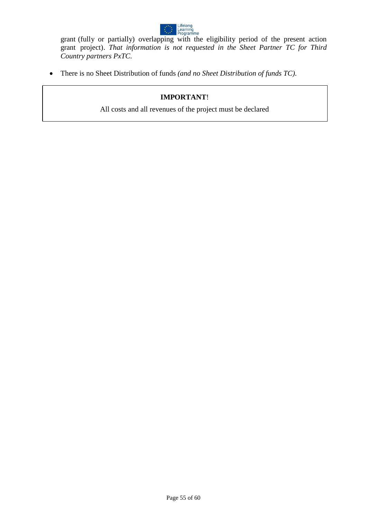

grant (fully or partially) overlapping with the eligibility period of the present action grant project). *That information is not requested in the Sheet Partner TC for Third Country partners PxTC.*

• There is no Sheet Distribution of funds *(and no Sheet Distribution of funds TC)*.

### **IMPORTANT**!

All costs and all revenues of the project must be declared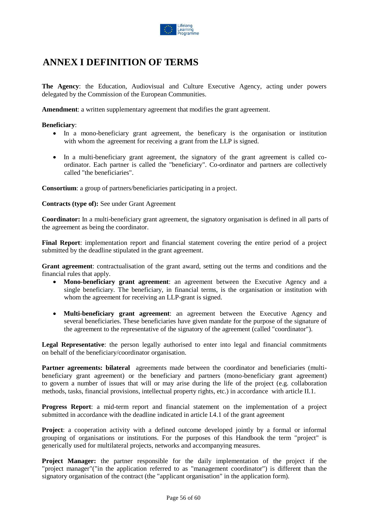

# <span id="page-55-0"></span>**ANNEX I DEFINITION OF TERMS**

**The Agency**: the Education, Audiovisual and Culture Executive Agency, acting under powers delegated by the Commission of the European Communities.

**Amendment**: a written supplementary agreement that modifies the grant agreement.

#### **Beneficiary**:

- In a mono-beneficiary grant agreement, the beneficary is the organisation or institution with whom the agreement for receiving a grant from the LLP is signed.
- In a multi-beneficiary grant agreement, the signatory of the grant agreement is called coordinator. Each partner is called the "beneficiary". Co-ordinator and partners are collectively called "the beneficiaries".

**Consortium**: a group of partners/beneficiaries participating in a project.

**Contracts (type of):** See under Grant Agreement

**Coordinator:** In a multi-beneficiary grant agreement, the signatory organisation is defined in all parts of the agreement as being the coordinator.

**Final Report**: implementation report and financial statement covering the entire period of a project submitted by the deadline stipulated in the grant agreement.

**Grant agreement**: contractualisation of the grant award, setting out the terms and conditions and the financial rules that apply.

- **Mono-beneficiary grant agreement**: an agreement between the Executive Agency and a single beneficiary. The beneficiary, in financial terms, is the organisation or institution with whom the agreement for receiving an LLP-grant is signed.
- **Multi-beneficiary grant agreement**: an agreement between the Executive Agency and several beneficiaries. These beneficiaries have given mandate for the purpose of the signature of the agreement to the representative of the signatory of the agreement (called "coordinator").

**Legal Representative**: the person legally authorised to enter into legal and financial commitments on behalf of the beneficiary/coordinator organisation.

**Partner agreements: bilateral** agreements made between the coordinator and beneficiaries (multibeneficiary grant agreement) or the beneficiary and partners (mono-beneficiary grant agreement) to govern a number of issues that will or may arise during the life of the project (e.g. collaboration methods, tasks, financial provisions, intellectual property rights, etc.) in accordance with article II.1.

**Progress Report**: a mid-term report and financial statement on the implementation of a project submitted in accordance with the deadline indicated in article I.4.1 of the grant agreement

**Project**: a cooperation activity with a defined outcome developed jointly by a formal or informal grouping of organisations or institutions. For the purposes of this Handbook the term "project" is generically used for multilateral projects, networks and accompanying measures.

**Project Manager:** the partner responsible for the daily implementation of the project if the "project manager"("in the application referred to as "management coordinator") is different than the signatory organisation of the contract (the "applicant organisation" in the application form).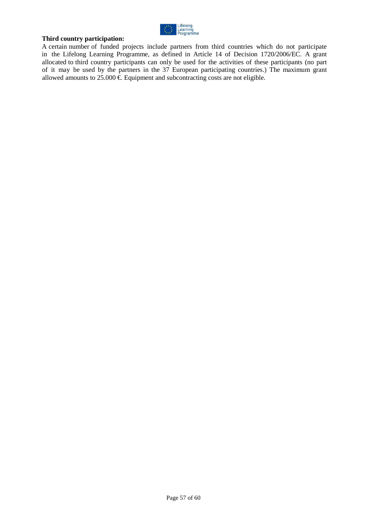

#### **Third country participation:**

A certain number of funded projects include partners from third countries which do not participate in the Lifelong Learning Programme, as defined in Article 14 of Decision 1720/2006/EC. A grant allocated to third country participants can only be used for the activities of these participants (no part of it may be used by the partners in the 37 European participating countries.) The maximum grant allowed amounts to  $25.000 \in$  Equipment and subcontracting costs are not eligible.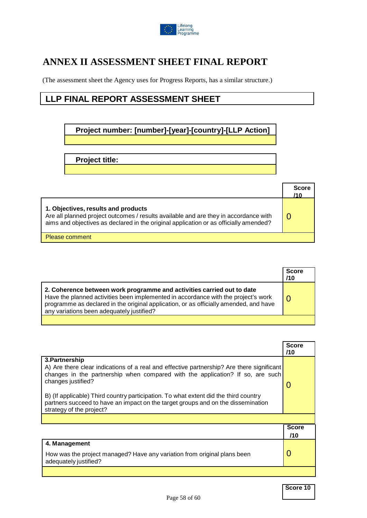

# <span id="page-57-0"></span>**ANNEX II ASSESSMENT SHEET FINAL REPORT**

(The assessment sheet the Agency uses for Progress Reports, has a similar structure.)

# **LLP FINAL REPORT ASSESSMENT SHEET**

**Project number: [number]-[year]-[country]-[LLP Action]**

**Project title:**

|                                                                                                                                                                                                                      | <b>Score</b><br>/10 |
|----------------------------------------------------------------------------------------------------------------------------------------------------------------------------------------------------------------------|---------------------|
| 1. Objectives, results and products<br>Are all planned project outcomes / results available and are they in accordance with<br>aims and objectives as declared in the original application or as officially amended? |                     |
| Please comment                                                                                                                                                                                                       |                     |

|                                                                                                                                                                                                                                                                                                    | <b>Score</b><br>/10 |
|----------------------------------------------------------------------------------------------------------------------------------------------------------------------------------------------------------------------------------------------------------------------------------------------------|---------------------|
| 2. Coherence between work programme and activities carried out to date<br>Have the planned activities been implemented in accordance with the project's work<br>programme as declared in the original application, or as officially amended, and have<br>any variations been adequately justified? |                     |

|                                                                                                                                                                                                                                                                                                                                                                                                                             | <b>Score</b><br>/10 |
|-----------------------------------------------------------------------------------------------------------------------------------------------------------------------------------------------------------------------------------------------------------------------------------------------------------------------------------------------------------------------------------------------------------------------------|---------------------|
| 3. Partnership<br>A) Are there clear indications of a real and effective partnership? Are there significant<br>changes in the partnership when compared with the application? If so, are such<br>changes justified?<br>B) (If applicable) Third country participation. To what extent did the third country<br>partners succeed to have an impact on the target groups and on the dissemination<br>strategy of the project? | $\mathbf{\Omega}$   |
|                                                                                                                                                                                                                                                                                                                                                                                                                             |                     |
|                                                                                                                                                                                                                                                                                                                                                                                                                             | <b>Score</b>        |
|                                                                                                                                                                                                                                                                                                                                                                                                                             | /10                 |
| 4. Management                                                                                                                                                                                                                                                                                                                                                                                                               |                     |
| How was the project managed? Have any variation from original plans been<br>adequately justified?                                                                                                                                                                                                                                                                                                                           | 0                   |
|                                                                                                                                                                                                                                                                                                                                                                                                                             |                     |

**Score 10**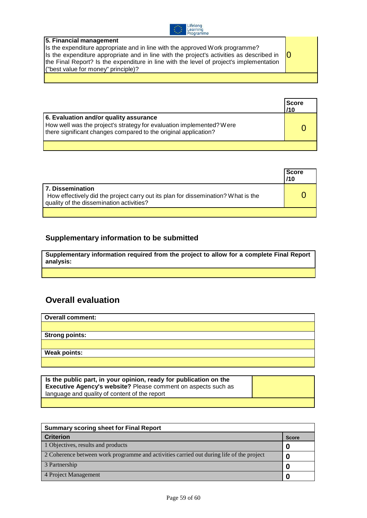

| 5. Financial management                                                                          |  |
|--------------------------------------------------------------------------------------------------|--|
| Is the expenditure appropriate and in line with the approved Work programme?                     |  |
| - IO<br>Is the expenditure appropriate and in line with the project's activities as described in |  |
| the Final Report? Is the expenditure in line with the level of project's implementation          |  |
| ("best value for money" principle)?                                                              |  |
|                                                                                                  |  |

|                                                                                                                                                                                   | <b>Score</b><br>/10 |
|-----------------------------------------------------------------------------------------------------------------------------------------------------------------------------------|---------------------|
| 6. Evaluation and/or quality assurance<br>How well was the project's strategy for evaluation implemented? Were<br>there significant changes compared to the original application? |                     |

|                                                                                                                                                   | <b>Score</b><br>/10 |
|---------------------------------------------------------------------------------------------------------------------------------------------------|---------------------|
| 7. Dissemination<br>How effectively did the project carry out its plan for dissemination? What is the<br>quality of the dissemination activities? |                     |
|                                                                                                                                                   |                     |

# **Supplementary information to be submitted**

**Supplementary information required from the project to allow for a complete Final Report analysis:**

# **Overall evaluation**

| <b>Overall comment:</b> |
|-------------------------|
|                         |
| <b>Strong points:</b>   |
|                         |
| <b>Weak points:</b>     |
|                         |

| Is the public part, in your opinion, ready for publication on the<br><b>Executive Agency's website?</b> Please comment on aspects such as |  |
|-------------------------------------------------------------------------------------------------------------------------------------------|--|
| language and quality of content of the report                                                                                             |  |
|                                                                                                                                           |  |

| <b>Summary scoring sheet for Final Report</b>                                            |   |  |
|------------------------------------------------------------------------------------------|---|--|
| <b>Criterion</b>                                                                         |   |  |
| 1 Objectives, results and products                                                       | 0 |  |
| 2 Coherence between work programme and activities carried out during life of the project |   |  |
| 3 Partnership                                                                            |   |  |
| 4 Project Management                                                                     |   |  |